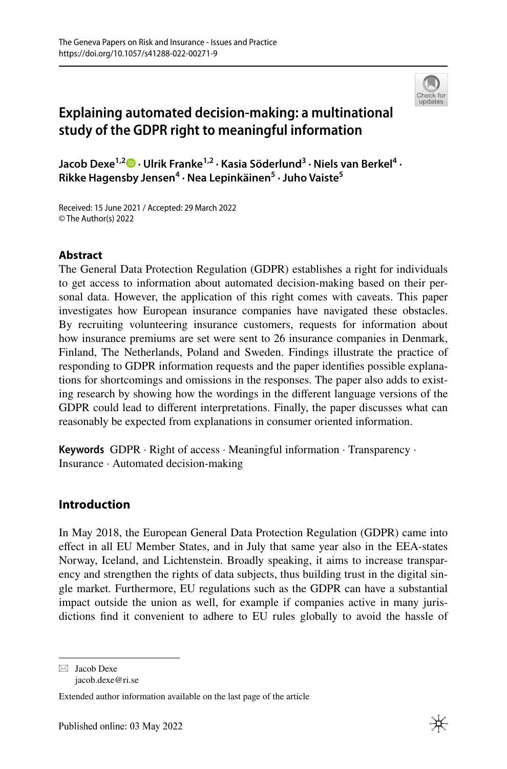

# **Explaining automated decision‑making: a multinational study of the GDPR right to meaningful information**

**Jacob Dexe1,2  [·](http://orcid.org/0000-0003-0738-2737) Ulrik Franke1,2 · Kasia Söderlund3 · Niels van Berkel<sup>4</sup> · Rikke Hagensby Jensen4 · Nea Lepinkäinen5 · Juho Vaiste5**

Received: 15 June 2021 / Accepted: 29 March 2022 © The Author(s) 2022

## **Abstract**

The General Data Protection Regulation (GDPR) establishes a right for individuals to get access to information about automated decision-making based on their personal data. However, the application of this right comes with caveats. This paper investigates how European insurance companies have navigated these obstacles. By recruiting volunteering insurance customers, requests for information about how insurance premiums are set were sent to 26 insurance companies in Denmark, Finland, The Netherlands, Poland and Sweden. Findings illustrate the practice of responding to GDPR information requests and the paper identifes possible explanations for shortcomings and omissions in the responses. The paper also adds to existing research by showing how the wordings in the diferent language versions of the GDPR could lead to diferent interpretations. Finally, the paper discusses what can reasonably be expected from explanations in consumer oriented information.

**Keywords** GDPR · Right of access · Meaningful information · Transparency · Insurance · Automated decision-making

## **Introduction**

In May 2018, the European General Data Protection Regulation (GDPR) came into efect in all EU Member States, and in July that same year also in the EEA-states Norway, Iceland, and Lichtenstein. Broadly speaking, it aims to increase transparency and strengthen the rights of data subjects, thus building trust in the digital single market. Furthermore, EU regulations such as the GDPR can have a substantial impact outside the union as well, for example if companies active in many jurisdictions fnd it convenient to adhere to EU rules globally to avoid the hassle of

 $\boxtimes$  Jacob Dexe jacob.dexe@ri.se

Extended author information available on the last page of the article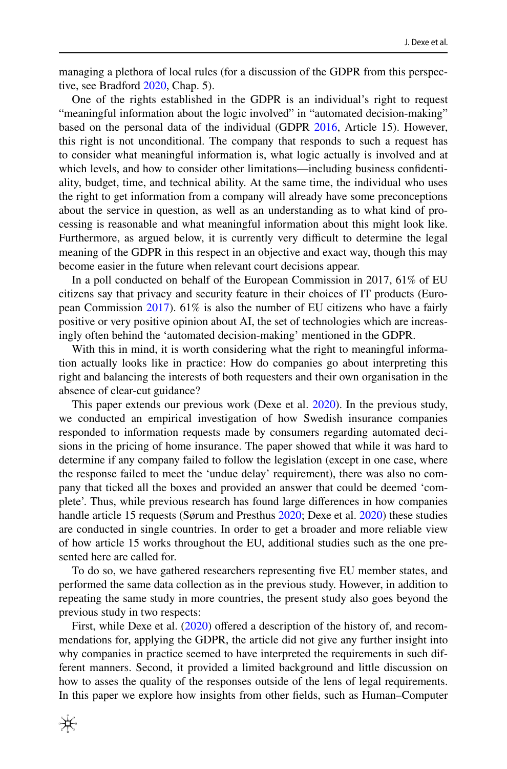managing a plethora of local rules (for a discussion of the GDPR from this perspective, see Bradford [2020](#page-25-0), Chap. 5).

One of the rights established in the GDPR is an individual's right to request "meaningful information about the logic involved" in "automated decision-making" based on the personal data of the individual (GDPR [2016](#page-25-1), Article 15). However, this right is not unconditional. The company that responds to such a request has to consider what meaningful information is, what logic actually is involved and at which levels, and how to consider other limitations—including business confdentiality, budget, time, and technical ability. At the same time, the individual who uses the right to get information from a company will already have some preconceptions about the service in question, as well as an understanding as to what kind of processing is reasonable and what meaningful information about this might look like. Furthermore, as argued below, it is currently very difficult to determine the legal meaning of the GDPR in this respect in an objective and exact way, though this may become easier in the future when relevant court decisions appear.

In a poll conducted on behalf of the European Commission in 2017, 61% of EU citizens say that privacy and security feature in their choices of IT products (European Commission [2017\)](#page-25-2). 61% is also the number of EU citizens who have a fairly positive or very positive opinion about AI, the set of technologies which are increasingly often behind the 'automated decision-making' mentioned in the GDPR.

With this in mind, it is worth considering what the right to meaningful information actually looks like in practice: How do companies go about interpreting this right and balancing the interests of both requesters and their own organisation in the absence of clear-cut guidance?

This paper extends our previous work (Dexe et al. [2020\)](#page-25-3). In the previous study, we conducted an empirical investigation of how Swedish insurance companies responded to information requests made by consumers regarding automated decisions in the pricing of home insurance. The paper showed that while it was hard to determine if any company failed to follow the legislation (except in one case, where the response failed to meet the 'undue delay' requirement), there was also no company that ticked all the boxes and provided an answer that could be deemed 'complete'. Thus, while previous research has found large diferences in how companies handle article 15 requests (Sørum and Presthus [2020](#page-26-0); Dexe et al. [2020\)](#page-25-3) these studies are conducted in single countries. In order to get a broader and more reliable view of how article 15 works throughout the EU, additional studies such as the one presented here are called for.

To do so, we have gathered researchers representing fve EU member states, and performed the same data collection as in the previous study. However, in addition to repeating the same study in more countries, the present study also goes beyond the previous study in two respects:

First, while Dexe et al.  $(2020)$  $(2020)$  offered a description of the history of, and recommendations for, applying the GDPR, the article did not give any further insight into why companies in practice seemed to have interpreted the requirements in such different manners. Second, it provided a limited background and little discussion on how to asses the quality of the responses outside of the lens of legal requirements. In this paper we explore how insights from other felds, such as Human–Computer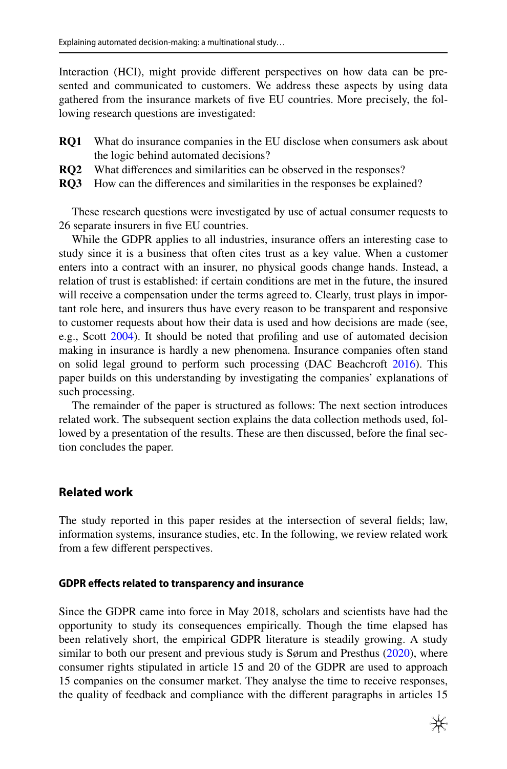Interaction (HCI), might provide diferent perspectives on how data can be presented and communicated to customers. We address these aspects by using data gathered from the insurance markets of fve EU countries. More precisely, the following research questions are investigated:

- **RQ1** What do insurance companies in the EU disclose when consumers ask about the logic behind automated decisions?
- **RQ2** What diferences and similarities can be observed in the responses?
- **RQ3** How can the diferences and similarities in the responses be explained?

These research questions were investigated by use of actual consumer requests to 26 separate insurers in fve EU countries.

While the GDPR applies to all industries, insurance offers an interesting case to study since it is a business that often cites trust as a key value. When a customer enters into a contract with an insurer, no physical goods change hands. Instead, a relation of trust is established: if certain conditions are met in the future, the insured will receive a compensation under the terms agreed to. Clearly, trust plays in important role here, and insurers thus have every reason to be transparent and responsive to customer requests about how their data is used and how decisions are made (see, e.g., Scott [2004](#page-26-1)). It should be noted that profling and use of automated decision making in insurance is hardly a new phenomena. Insurance companies often stand on solid legal ground to perform such processing (DAC Beachcroft [2016](#page-25-4)). This paper builds on this understanding by investigating the companies' explanations of such processing.

The remainder of the paper is structured as follows: The next section introduces related work. The subsequent section explains the data collection methods used, followed by a presentation of the results. These are then discussed, before the fnal section concludes the paper.

## **Related work**

The study reported in this paper resides at the intersection of several felds; law, information systems, insurance studies, etc. In the following, we review related work from a few diferent perspectives.

#### **GDPR efects related to transparency and insurance**

Since the GDPR came into force in May 2018, scholars and scientists have had the opportunity to study its consequences empirically. Though the time elapsed has been relatively short, the empirical GDPR literature is steadily growing. A study similar to both our present and previous study is Sørum and Presthus [\(2020](#page-26-0)), where consumer rights stipulated in article 15 and 20 of the GDPR are used to approach 15 companies on the consumer market. They analyse the time to receive responses, the quality of feedback and compliance with the diferent paragraphs in articles 15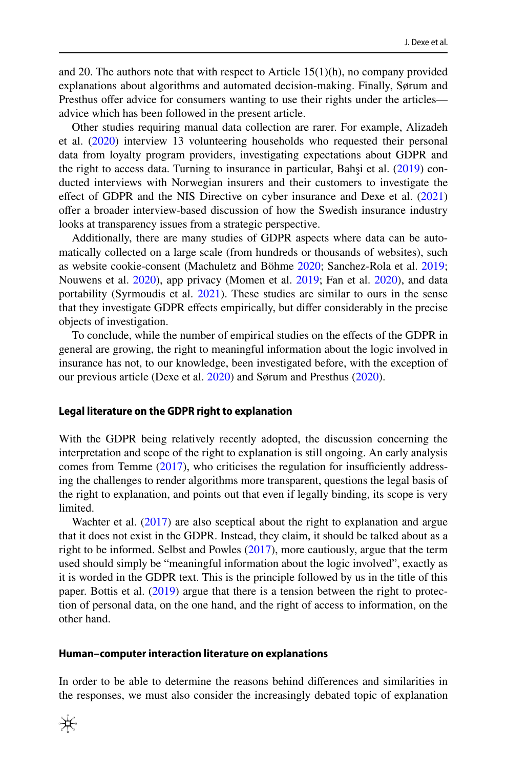and 20. The authors note that with respect to Article  $15(1)(h)$ , no company provided explanations about algorithms and automated decision-making. Finally, Sørum and Presthus offer advice for consumers wanting to use their rights under the articles advice which has been followed in the present article.

Other studies requiring manual data collection are rarer. For example, Alizadeh et al. ([2020\)](#page-25-5) interview 13 volunteering households who requested their personal data from loyalty program providers, investigating expectations about GDPR and the right to access data. Turning to insurance in particular, Bahşi et al. [\(2019](#page-25-6)) conducted interviews with Norwegian insurers and their customers to investigate the effect of GDPR and the NIS Directive on cyber insurance and Dexe et al. [\(2021](#page-25-7)) ofer a broader interview-based discussion of how the Swedish insurance industry looks at transparency issues from a strategic perspective.

Additionally, there are many studies of GDPR aspects where data can be automatically collected on a large scale (from hundreds or thousands of websites), such as website cookie-consent (Machuletz and Böhme [2020](#page-26-2); Sanchez-Rola et al. [2019;](#page-26-3) Nouwens et al. [2020](#page-26-4)), app privacy (Momen et al. [2019;](#page-26-5) Fan et al. [2020\)](#page-25-8), and data portability (Syrmoudis et al. [2021](#page-26-6)). These studies are similar to ours in the sense that they investigate GDPR efects empirically, but difer considerably in the precise objects of investigation.

To conclude, while the number of empirical studies on the efects of the GDPR in general are growing, the right to meaningful information about the logic involved in insurance has not, to our knowledge, been investigated before, with the exception of our previous article (Dexe et al. [2020\)](#page-25-3) and Sørum and Presthus [\(2020](#page-26-0)).

#### **Legal literature on the GDPR right to explanation**

With the GDPR being relatively recently adopted, the discussion concerning the interpretation and scope of the right to explanation is still ongoing. An early analysis comes from Temme  $(2017)$  $(2017)$ , who criticises the regulation for insufficiently addressing the challenges to render algorithms more transparent, questions the legal basis of the right to explanation, and points out that even if legally binding, its scope is very limited.

Wachter et al. [\(2017](#page-26-8)) are also sceptical about the right to explanation and argue that it does not exist in the GDPR. Instead, they claim, it should be talked about as a right to be informed. Selbst and Powles [\(2017](#page-26-9)), more cautiously, argue that the term used should simply be "meaningful information about the logic involved", exactly as it is worded in the GDPR text. This is the principle followed by us in the title of this paper. Bottis et al. [\(2019](#page-25-9)) argue that there is a tension between the right to protection of personal data, on the one hand, and the right of access to information, on the other hand.

#### **Human–computer interaction literature on explanations**

In order to be able to determine the reasons behind diferences and similarities in the responses, we must also consider the increasingly debated topic of explanation

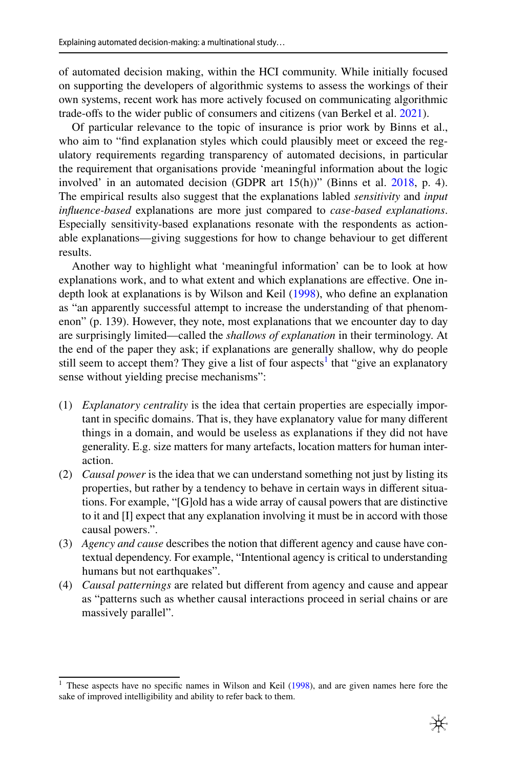of automated decision making, within the HCI community. While initially focused on supporting the developers of algorithmic systems to assess the workings of their own systems, recent work has more actively focused on communicating algorithmic trade-offs to the wider public of consumers and citizens (van Berkel et al. [2021\)](#page-26-10).

Of particular relevance to the topic of insurance is prior work by Binns et al., who aim to "fnd explanation styles which could plausibly meet or exceed the regulatory requirements regarding transparency of automated decisions, in particular the requirement that organisations provide 'meaningful information about the logic involved' in an automated decision (GDPR art 15(h))" (Binns et al. [2018](#page-25-10), p. 4). The empirical results also suggest that the explanations labled *sensitivity* and *input infuence-based* explanations are more just compared to *case-based explanations*. Especially sensitivity-based explanations resonate with the respondents as actionable explanations—giving suggestions for how to change behaviour to get diferent results.

Another way to highlight what 'meaningful information' can be to look at how explanations work, and to what extent and which explanations are efective. One indepth look at explanations is by Wilson and Keil ([1998\)](#page-26-11), who defne an explanation as "an apparently successful attempt to increase the understanding of that phenomenon" (p. 139). However, they note, most explanations that we encounter day to day are surprisingly limited—called the *shallows of explanation* in their terminology. At the end of the paper they ask; if explanations are generally shallow, why do people still seem to accept them? They give a list of four aspects<sup>[1](#page-4-0)</sup> that "give an explanatory sense without yielding precise mechanisms":

- (1) *Explanatory centrality* is the idea that certain properties are especially important in specifc domains. That is, they have explanatory value for many diferent things in a domain, and would be useless as explanations if they did not have generality. E.g. size matters for many artefacts, location matters for human interaction.
- (2) *Causal power* is the idea that we can understand something not just by listing its properties, but rather by a tendency to behave in certain ways in diferent situations. For example, "[G]old has a wide array of causal powers that are distinctive to it and [I] expect that any explanation involving it must be in accord with those causal powers.".
- (3) *Agency and cause* describes the notion that diferent agency and cause have contextual dependency. For example, "Intentional agency is critical to understanding humans but not earthquakes".
- (4) *Causal patternings* are related but diferent from agency and cause and appear as "patterns such as whether causal interactions proceed in serial chains or are massively parallel".

<span id="page-4-0"></span><sup>&</sup>lt;sup>1</sup> These aspects have no specific names in Wilson and Keil ([1998\)](#page-26-11), and are given names here fore the sake of improved intelligibility and ability to refer back to them.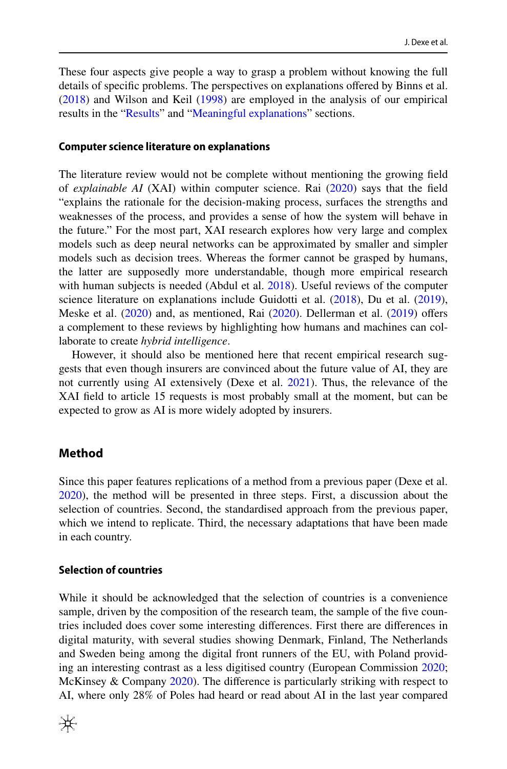These four aspects give people a way to grasp a problem without knowing the full details of specifc problems. The perspectives on explanations ofered by Binns et al. [\(2018](#page-25-10)) and Wilson and Keil ([1998\)](#page-26-11) are employed in the analysis of our empirical results in the ["Results](#page-9-0)" and "[Meaningful explanations](#page-21-0)" sections.

#### **Computer science literature on explanations**

The literature review would not be complete without mentioning the growing feld of *explainable AI* (XAI) within computer science. Rai [\(2020](#page-26-12)) says that the feld "explains the rationale for the decision-making process, surfaces the strengths and weaknesses of the process, and provides a sense of how the system will behave in the future." For the most part, XAI research explores how very large and complex models such as deep neural networks can be approximated by smaller and simpler models such as decision trees. Whereas the former cannot be grasped by humans, the latter are supposedly more understandable, though more empirical research with human subjects is needed (Abdul et al. [2018](#page-25-11)). Useful reviews of the computer science literature on explanations include Guidotti et al. [\(2018](#page-26-13)), Du et al. ([2019\)](#page-25-12), Meske et al. [\(2020](#page-26-14)) and, as mentioned, Rai [\(2020](#page-26-12)). Dellerman et al. ([2019\)](#page-25-13) ofers a complement to these reviews by highlighting how humans and machines can collaborate to create *hybrid intelligence*.

However, it should also be mentioned here that recent empirical research suggests that even though insurers are convinced about the future value of AI, they are not currently using AI extensively (Dexe et al. [2021](#page-25-7)). Thus, the relevance of the XAI feld to article 15 requests is most probably small at the moment, but can be expected to grow as AI is more widely adopted by insurers.

### <span id="page-5-0"></span>**Method**

Since this paper features replications of a method from a previous paper (Dexe et al. [2020](#page-25-3)), the method will be presented in three steps. First, a discussion about the selection of countries. Second, the standardised approach from the previous paper, which we intend to replicate. Third, the necessary adaptations that have been made in each country.

#### **Selection of countries**

While it should be acknowledged that the selection of countries is a convenience sample, driven by the composition of the research team, the sample of the fve countries included does cover some interesting diferences. First there are diferences in digital maturity, with several studies showing Denmark, Finland, The Netherlands and Sweden being among the digital front runners of the EU, with Poland providing an interesting contrast as a less digitised country (European Commission [2020;](#page-25-14) McKinsey & Company [2020](#page-26-15)). The diference is particularly striking with respect to AI, where only 28% of Poles had heard or read about AI in the last year compared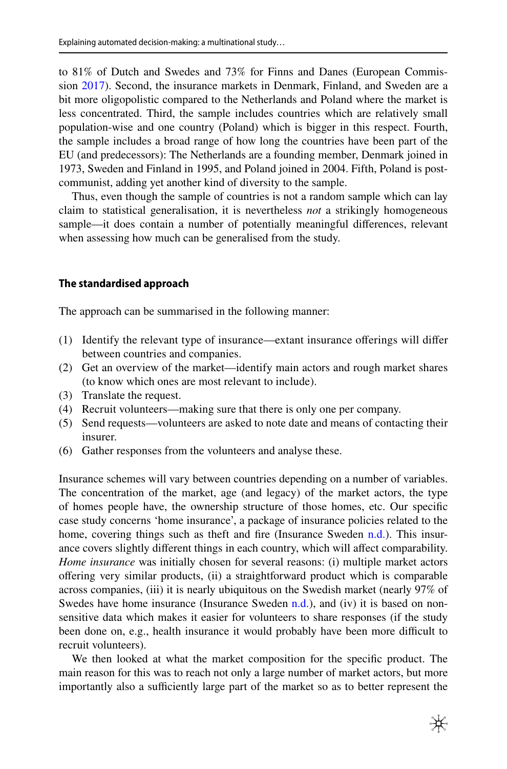to 81% of Dutch and Swedes and 73% for Finns and Danes (European Commission [2017\)](#page-25-2). Second, the insurance markets in Denmark, Finland, and Sweden are a bit more oligopolistic compared to the Netherlands and Poland where the market is less concentrated. Third, the sample includes countries which are relatively small population-wise and one country (Poland) which is bigger in this respect. Fourth, the sample includes a broad range of how long the countries have been part of the EU (and predecessors): The Netherlands are a founding member, Denmark joined in 1973, Sweden and Finland in 1995, and Poland joined in 2004. Fifth, Poland is postcommunist, adding yet another kind of diversity to the sample.

Thus, even though the sample of countries is not a random sample which can lay claim to statistical generalisation, it is nevertheless *not* a strikingly homogeneous sample—it does contain a number of potentially meaningful diferences, relevant when assessing how much can be generalised from the study.

### **The standardised approach**

The approach can be summarised in the following manner:

- (1) Identify the relevant type of insurance—extant insurance oferings will difer between countries and companies.
- (2) Get an overview of the market—identify main actors and rough market shares (to know which ones are most relevant to include).
- (3) Translate the request.
- (4) Recruit volunteers—making sure that there is only one per company.
- (5) Send requests—volunteers are asked to note date and means of contacting their insurer.
- (6) Gather responses from the volunteers and analyse these.

Insurance schemes will vary between countries depending on a number of variables. The concentration of the market, age (and legacy) of the market actors, the type of homes people have, the ownership structure of those homes, etc. Our specifc case study concerns 'home insurance', a package of insurance policies related to the home, covering things such as theft and fire (Insurance Sweden [n.d.](#page-26-16)). This insurance covers slightly diferent things in each country, which will afect comparability. *Home insurance* was initially chosen for several reasons: (i) multiple market actors ofering very similar products, (ii) a straightforward product which is comparable across companies, (iii) it is nearly ubiquitous on the Swedish market (nearly 97% of Swedes have home insurance (Insurance Sweden  $n.d.$ ), and (iv) it is based on nonsensitive data which makes it easier for volunteers to share responses (if the study been done on, e.g., health insurance it would probably have been more difficult to recruit volunteers).

We then looked at what the market composition for the specifc product. The main reason for this was to reach not only a large number of market actors, but more importantly also a sufficiently large part of the market so as to better represent the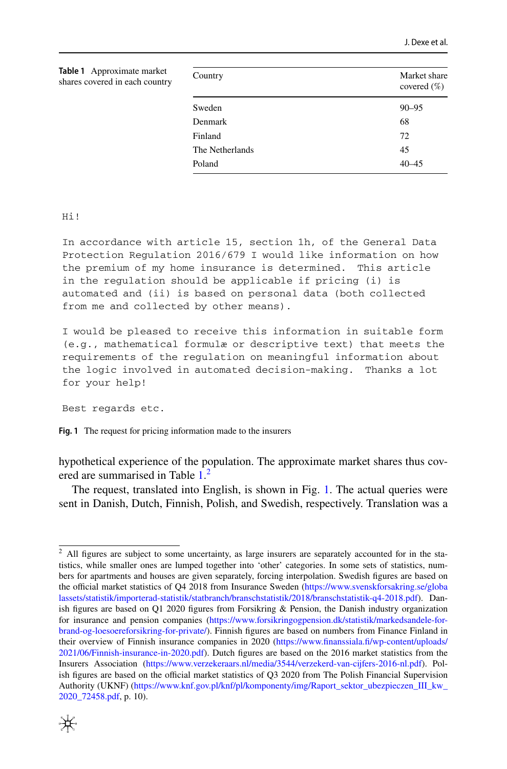<span id="page-7-0"></span>

| <b>Table 1</b> Approximate market<br>shares covered in each country | Country         | Market share<br>covered $(\%)$ |
|---------------------------------------------------------------------|-----------------|--------------------------------|
|                                                                     | Sweden          | $90 - 95$                      |
|                                                                     | Denmark         | 68                             |
|                                                                     | Finland         | 72                             |
|                                                                     | The Netherlands | 45                             |
|                                                                     | Poland          | $40 - 45$                      |

Hi!

In accordance with article 15, section 1h, of the General Data Protection Regulation 2016/679 I would like information on how the premium of my home insurance is determined. This article in the regulation should be applicable if pricing (i) is automated and (ii) is based on personal data (both collected from me and collected by other means).

I would be pleased to receive this information in suitable form (e.g., mathematical formulæ or descriptive text) that meets the requirements of the regulation on meaningful information about the logic involved in automated decision-making. Thanks a lot for your help!

Best regards etc.

<span id="page-7-2"></span>**Fig. 1** The request for pricing information made to the insurers

hypothetical experience of the population. The approximate market shares thus cov-ered are summarised in Table [1.](#page-7-0)<sup>[2](#page-7-1)</sup>

The request, translated into English, is shown in Fig. [1.](#page-7-2) The actual queries were sent in Danish, Dutch, Finnish, Polish, and Swedish, respectively. Translation was a

<span id="page-7-1"></span><sup>&</sup>lt;sup>2</sup> All figures are subject to some uncertainty, as large insurers are separately accounted for in the statistics, while smaller ones are lumped together into 'other' categories. In some sets of statistics, numbers for apartments and houses are given separately, forcing interpolation. Swedish fgures are based on the official market statistics of Q4 2018 from Insurance Sweden [\(https://www.svenskforsakring.se/globa](https://www.svenskforsakring.se/globalassets/statistik/importerad-statistik/statbranch/branschstatistik/2018/branschstatistik-q4-2018.pdf) [lassets/statistik/importerad-statistik/statbranch/branschstatistik/2018/branschstatistik-q4-2018.pdf](https://www.svenskforsakring.se/globalassets/statistik/importerad-statistik/statbranch/branschstatistik/2018/branschstatistik-q4-2018.pdf)). Danish figures are based on  $Q1$  2020 figures from Forsikring & Pension, the Danish industry organization for insurance and pension companies ([https://www.forsikringogpension.dk/statistik/markedsandele-for](https://www.forsikringogpension.dk/statistik/markedsandele-for-brand-og-loesoereforsikring-for-private/)[brand-og-loesoereforsikring-for-private/](https://www.forsikringogpension.dk/statistik/markedsandele-for-brand-og-loesoereforsikring-for-private/)). Finnish fgures are based on numbers from Finance Finland in their overview of Finnish insurance companies in 2020 ([https://www.fnanssiala.f/wp-content/uploads/](https://www.finanssiala.fi/wp-content/uploads/2021/06/Finnish-insurance-in-2020.pdf) [2021/06/Finnish-insurance-in-2020.pdf\)](https://www.finanssiala.fi/wp-content/uploads/2021/06/Finnish-insurance-in-2020.pdf). Dutch fgures are based on the 2016 market statistics from the Insurers Association ([https://www.verzekeraars.nl/media/3544/verzekerd-van-cijfers-2016-nl.pdf\)](https://www.verzekeraars.nl/media/3544/verzekerd-van-cijfers-2016-nl.pdf). Polish figures are based on the official market statistics of Q3 2020 from The Polish Financial Supervision Authority (UKNF) [\(https://www.knf.gov.pl/knf/pl/komponenty/img/Raport\\_sektor\\_ubezpieczen\\_III\\_kw\\_](https://www.knf.gov.pl/knf/pl/komponenty/img/Raport_sektor_ubezpieczen_III_kw_2020_72458.pdf) [2020\\_72458.pdf,](https://www.knf.gov.pl/knf/pl/komponenty/img/Raport_sektor_ubezpieczen_III_kw_2020_72458.pdf) p. 10).

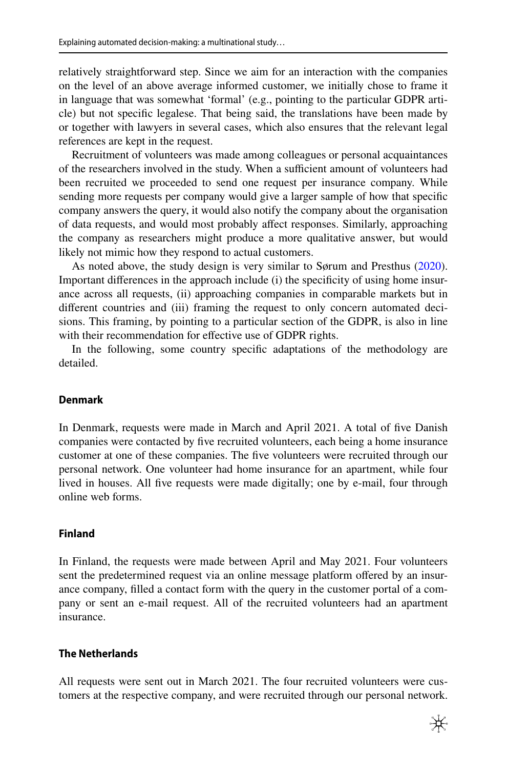relatively straightforward step. Since we aim for an interaction with the companies on the level of an above average informed customer, we initially chose to frame it in language that was somewhat 'formal' (e.g., pointing to the particular GDPR article) but not specifc legalese. That being said, the translations have been made by or together with lawyers in several cases, which also ensures that the relevant legal references are kept in the request.

Recruitment of volunteers was made among colleagues or personal acquaintances of the researchers involved in the study. When a sufficient amount of volunteers had been recruited we proceeded to send one request per insurance company. While sending more requests per company would give a larger sample of how that specifc company answers the query, it would also notify the company about the organisation of data requests, and would most probably afect responses. Similarly, approaching the company as researchers might produce a more qualitative answer, but would likely not mimic how they respond to actual customers.

As noted above, the study design is very similar to Sørum and Presthus ([2020\)](#page-26-0). Important diferences in the approach include (i) the specifcity of using home insurance across all requests, (ii) approaching companies in comparable markets but in diferent countries and (iii) framing the request to only concern automated decisions. This framing, by pointing to a particular section of the GDPR, is also in line with their recommendation for efective use of GDPR rights.

In the following, some country specifc adaptations of the methodology are detailed.

## **Denmark**

In Denmark, requests were made in March and April 2021. A total of fve Danish companies were contacted by fve recruited volunteers, each being a home insurance customer at one of these companies. The fve volunteers were recruited through our personal network. One volunteer had home insurance for an apartment, while four lived in houses. All fve requests were made digitally; one by e-mail, four through online web forms.

### **Finland**

In Finland, the requests were made between April and May 2021. Four volunteers sent the predetermined request via an online message platform ofered by an insurance company, flled a contact form with the query in the customer portal of a company or sent an e-mail request. All of the recruited volunteers had an apartment insurance.

## **The Netherlands**

All requests were sent out in March 2021. The four recruited volunteers were customers at the respective company, and were recruited through our personal network.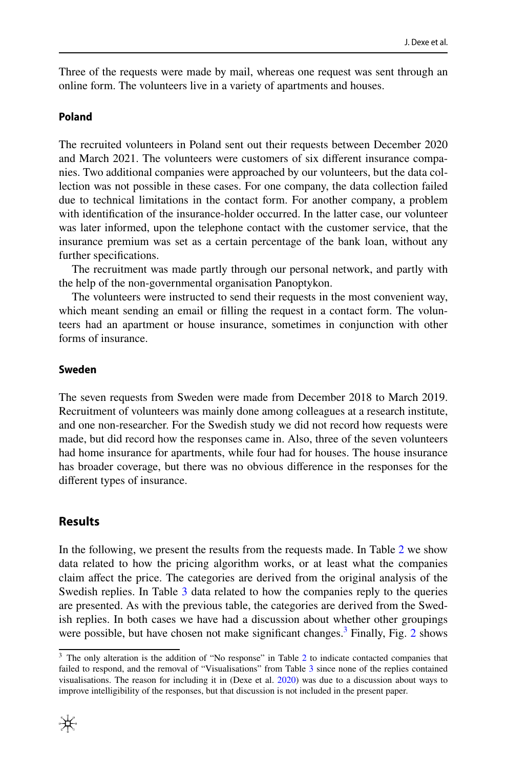Three of the requests were made by mail, whereas one request was sent through an online form. The volunteers live in a variety of apartments and houses.

### **Poland**

The recruited volunteers in Poland sent out their requests between December 2020 and March 2021. The volunteers were customers of six diferent insurance companies. Two additional companies were approached by our volunteers, but the data collection was not possible in these cases. For one company, the data collection failed due to technical limitations in the contact form. For another company, a problem with identifcation of the insurance-holder occurred. In the latter case, our volunteer was later informed, upon the telephone contact with the customer service, that the insurance premium was set as a certain percentage of the bank loan, without any further specifcations.

The recruitment was made partly through our personal network, and partly with the help of the non-governmental organisation Panoptykon.

The volunteers were instructed to send their requests in the most convenient way, which meant sending an email or filling the request in a contact form. The volunteers had an apartment or house insurance, sometimes in conjunction with other forms of insurance.

### **Sweden**

The seven requests from Sweden were made from December 2018 to March 2019. Recruitment of volunteers was mainly done among colleagues at a research institute, and one non-researcher. For the Swedish study we did not record how requests were made, but did record how the responses came in. Also, three of the seven volunteers had home insurance for apartments, while four had for houses. The house insurance has broader coverage, but there was no obvious diference in the responses for the diferent types of insurance.

## <span id="page-9-0"></span>**Results**

In the following, we present the results from the requests made. In Table [2](#page-10-0) we show data related to how the pricing algorithm works, or at least what the companies claim afect the price. The categories are derived from the original analysis of the Swedish replies. In Table [3](#page-12-0) data related to how the companies reply to the queries are presented. As with the previous table, the categories are derived from the Swedish replies. In both cases we have had a discussion about whether other groupings were possible, but have chosen not make significant changes.<sup>[3](#page-9-1)</sup> Finally, Fig. [2](#page-13-0) shows

<span id="page-9-1"></span><sup>&</sup>lt;sup>3</sup> The only alteration is the addition of "No response" in Table [2](#page-10-0) to indicate contacted companies that failed to respond, and the removal of "Visualisations" from Table [3](#page-12-0) since none of the replies contained visualisations. The reason for including it in (Dexe et al. [2020\)](#page-25-3) was due to a discussion about ways to improve intelligibility of the responses, but that discussion is not included in the present paper.

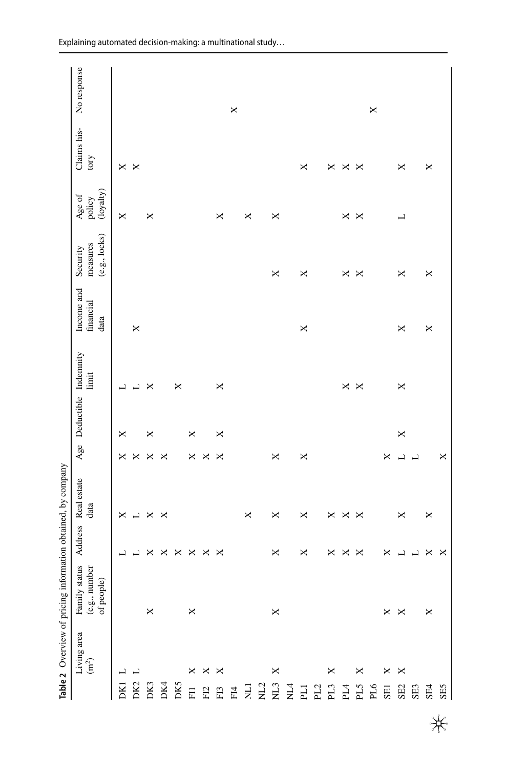|                                             |                       | Table 2 Overview of pricing information obtained, by company |         |                     |              |                          |       |                                 |                                       |                               |                     |             |
|---------------------------------------------|-----------------------|--------------------------------------------------------------|---------|---------------------|--------------|--------------------------|-------|---------------------------------|---------------------------------------|-------------------------------|---------------------|-------------|
|                                             | Living area $(m2)$    | Family status<br>(e.g., number<br>of people)                 | Address | Real estate<br>data |              | Age Deductible Indemnity | limit | Income and<br>financial<br>data | (e.g., locks)<br>measures<br>Security | (loyalty)<br>Age of<br>policy | Claims his-<br>tory | No response |
| DK1                                         | ᅴ                     |                                                              |         | ×                   | ×            | ×                        |       |                                 |                                       | ×                             | ×                   |             |
| DK <sub>2</sub>                             | 凵                     |                                                              | 凵       | L                   | $\times$     |                          | ┙     | $\times$                        |                                       |                               | ×                   |             |
| DK3                                         |                       | ×                                                            | ×       | $\times$            | $\Join$      | ×                        | ×     |                                 |                                       | ×                             |                     |             |
| $DK4$                                       |                       |                                                              | ×       | ×                   | $\mathsf{x}$ |                          |       |                                 |                                       |                               |                     |             |
| DK5                                         |                       |                                                              | ×       |                     |              |                          | ×     |                                 |                                       |                               |                     |             |
| $\Xi$                                       | $\times$              | $\Join$                                                      | ×       |                     | $\times$     | ×                        |       |                                 |                                       |                               |                     |             |
| ${\rm F}12$                                 | ×                     |                                                              | ×       |                     | $\times$     |                          |       |                                 |                                       |                               |                     |             |
| <b>EEE</b>                                  | ×                     |                                                              | ×       |                     | $\times$     | ×                        | ×     |                                 |                                       | ×                             |                     |             |
|                                             |                       |                                                              |         |                     |              |                          |       |                                 |                                       |                               |                     | $\times$    |
|                                             |                       |                                                              |         | ×                   |              |                          |       |                                 |                                       | ×                             |                     |             |
| $\rm{NL}$                                   |                       |                                                              |         |                     |              |                          |       |                                 |                                       |                               |                     |             |
|                                             | ×                     | $\times$                                                     | ×       | ×                   | ×            |                          |       |                                 | ×                                     | ×                             |                     |             |
| $\sum\limits_{\mathbf{K} \perp \mathbf{A}}$ |                       |                                                              |         |                     |              |                          |       |                                 |                                       |                               |                     |             |
| $\Xi$                                       |                       |                                                              | ×       | ×                   | ×            |                          |       | $\times$                        | ×                                     |                               | ×                   |             |
| PL2                                         |                       |                                                              |         |                     |              |                          |       |                                 |                                       |                               |                     |             |
| $\mathbf{P}\mathbf{L}3$                     | ×                     |                                                              | ×       | ×                   |              |                          |       |                                 |                                       |                               | ×                   |             |
| P14                                         |                       |                                                              | ×       | ×                   |              |                          | ×     |                                 | ×                                     | ×                             | ×                   |             |
| PL5                                         | ×                     |                                                              | ×       | ×                   |              |                          | ×     |                                 | ×                                     | ×                             | ×                   |             |
| PL6                                         |                       |                                                              |         |                     |              |                          |       |                                 |                                       |                               |                     | ×           |
| SEI                                         | ×                     | ×                                                            | ×       |                     | ×            |                          |       |                                 |                                       |                               |                     |             |
| SE2                                         | $\boldsymbol{\times}$ | ×                                                            | ┙       | ×                   | L            | ×                        | ×     | ×                               | ×                                     | ┙                             | ×                   |             |
| SE3                                         |                       |                                                              |         |                     | L            |                          |       |                                 |                                       |                               |                     |             |
| SE4                                         |                       | ×                                                            | ×       | ×                   |              |                          |       | ×                               | ×                                     |                               | ×                   |             |
| SE5                                         |                       |                                                              | ×       |                     | ×            |                          |       |                                 |                                       |                               |                     |             |

<span id="page-10-0"></span>米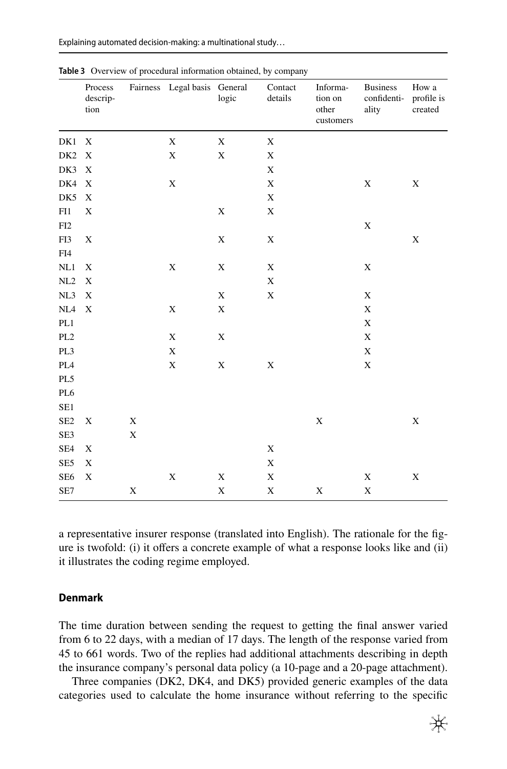Explaining automated decision-making: a multinational study...

|                 | Process<br>descrip-<br>tion |             | Fairness Legal basis General | logic       | Contact<br>details | Informa-<br>tion on<br>other<br>customers | <b>Business</b><br>confidenti-<br>ality | How a<br>profile is<br>created |
|-----------------|-----------------------------|-------------|------------------------------|-------------|--------------------|-------------------------------------------|-----------------------------------------|--------------------------------|
| DK1             | $\boldsymbol{\mathrm{X}}$   |             | $\mathbf X$                  | $\mathbf X$ | $\mathbf X$        |                                           |                                         |                                |
| DK <sub>2</sub> | X                           |             | X                            | $\mathbf X$ | $\mathbf X$        |                                           |                                         |                                |
| DK3             | X                           |             |                              |             | $\mathbf X$        |                                           |                                         |                                |
| DK4             | $\boldsymbol{\mathrm{X}}$   |             | X                            |             | X                  |                                           | $\mathbf X$                             | $\mathbf X$                    |
| DK5             | $\boldsymbol{\mathrm{X}}$   |             |                              |             | $\mathbf X$        |                                           |                                         |                                |
| FI1             | $\mathbf X$                 |             |                              | X           | $\mathbf X$        |                                           |                                         |                                |
| FI <sub>2</sub> |                             |             |                              |             |                    |                                           | $\mathbf X$                             |                                |
| FI3             | $\mathbf X$                 |             |                              | X           | $\mathbf X$        |                                           |                                         | $\mathbf X$                    |
| ${\rm FI4}$     |                             |             |                              |             |                    |                                           |                                         |                                |
| $\rm NL1$       | X                           |             | $\mathbf X$                  | $\mathbf X$ | $\mathbf X$        |                                           | $\mathbf X$                             |                                |
| $\rm NL2$       | $\mathbf X$                 |             |                              |             | $\mathbf X$        |                                           |                                         |                                |
| $\rm NL3$       | $\mathbf X$                 |             |                              | X           | $\mathbf X$        |                                           | $\mathbf X$                             |                                |
| $\rm NL4$       | $\mathbf X$                 |             | X                            | $\mathbf X$ |                    |                                           | $\mathbf X$                             |                                |
| $\rm PL1$       |                             |             |                              |             |                    |                                           | $\mathbf X$                             |                                |
| PL <sub>2</sub> |                             |             | X                            | $\mathbf X$ |                    |                                           | $\mathbf X$                             |                                |
| PL3             |                             |             | $\mathbf X$                  |             |                    |                                           | $\mathbf X$                             |                                |
| PL <sub>4</sub> |                             |             | X                            | X           | $\mathbf X$        |                                           | $\mathbf X$                             |                                |
| PL5             |                             |             |                              |             |                    |                                           |                                         |                                |
| PL6             |                             |             |                              |             |                    |                                           |                                         |                                |
| SE1             |                             |             |                              |             |                    |                                           |                                         |                                |
| SE <sub>2</sub> | X                           | X           |                              |             |                    | $\mathbf X$                               |                                         | $\mathbf X$                    |
| SE3             |                             | $\mathbf X$ |                              |             |                    |                                           |                                         |                                |
| SE4             | X                           |             |                              |             | $\mathbf X$        |                                           |                                         |                                |
| SE5             | $\mathbf X$                 |             |                              |             | $\mathbf X$        |                                           |                                         |                                |
| SE <sub>6</sub> | $\mathbf X$                 |             | $\mathbf X$                  | X           | $\mathbf X$        |                                           | $\mathbf X$                             | $\mathbf X$                    |
| SE7             |                             | X           |                              | $\mathbf X$ | $\mathbf X$        | X                                         | $\mathbf X$                             |                                |

<span id="page-12-0"></span>**Table 3** Overview of procedural information obtained, by company

a representative insurer response (translated into English). The rationale for the fgure is twofold: (i) it ofers a concrete example of what a response looks like and (ii) it illustrates the coding regime employed.

### **Denmark**

The time duration between sending the request to getting the fnal answer varied from 6 to 22 days, with a median of 17 days. The length of the response varied from 45 to 661 words. Two of the replies had additional attachments describing in depth the insurance company's personal data policy (a 10-page and a 20-page attachment).

Three companies (DK2, DK4, and DK5) provided generic examples of the data categories used to calculate the home insurance without referring to the specifc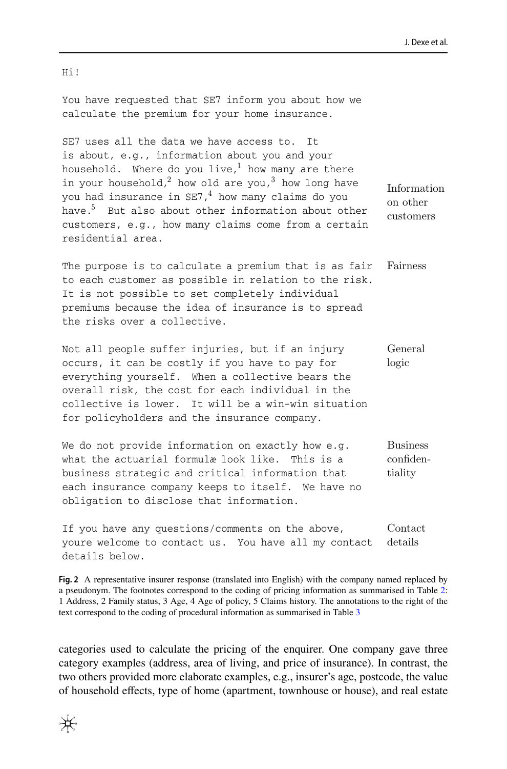You have requested that SE7 inform you about how we calculate the premium for your home insurance.

SE7 uses all the data we have access to. It is about, e.g., information about you and your household. Where do you live, $1$  how many are there in your household,<sup>2</sup> how old are you,<sup>3</sup> how long have you had insurance in  $SE7.4$  how many claims do you have.<sup>5</sup> But also about other information about other customers, e.g., how many claims come from a certain residential area. Information on other customers

The purpose is to calculate a premium that is as fair to each customer as possible in relation to the risk. It is not possible to set completely individual premiums because the idea of insurance is to spread the risks over a collective. Fairness

Not all people suffer injuries, but if an injury occurs, it can be costly if you have to pay for everything yourself. When a collective bears the overall risk, the cost for each individual in the collective is lower. It will be a win-win situation for policyholders and the insurance company. General logic

We do not provide information on exactly how e.g. what the actuarial formulæ look like. This is a business strategic and critical information that each insurance company keeps to itself. We have no obligation to disclose that information. Business confidentiality

If you have any questions/comments on the above, youre welcome to contact us. You have all my contact details below. Contact details

<span id="page-13-0"></span>**Fig. 2** A representative insurer response (translated into English) with the company named replaced by a pseudonym. The footnotes correspond to the coding of pricing information as summarised in Table [2](#page-10-0): 1 Address, 2 Family status, 3 Age, 4 Age of policy, 5 Claims history. The annotations to the right of the text correspond to the coding of procedural information as summarised in Table [3](#page-12-0)

categories used to calculate the pricing of the enquirer. One company gave three category examples (address, area of living, and price of insurance). In contrast, the two others provided more elaborate examples, e.g., insurer's age, postcode, the value of household efects, type of home (apartment, townhouse or house), and real estate

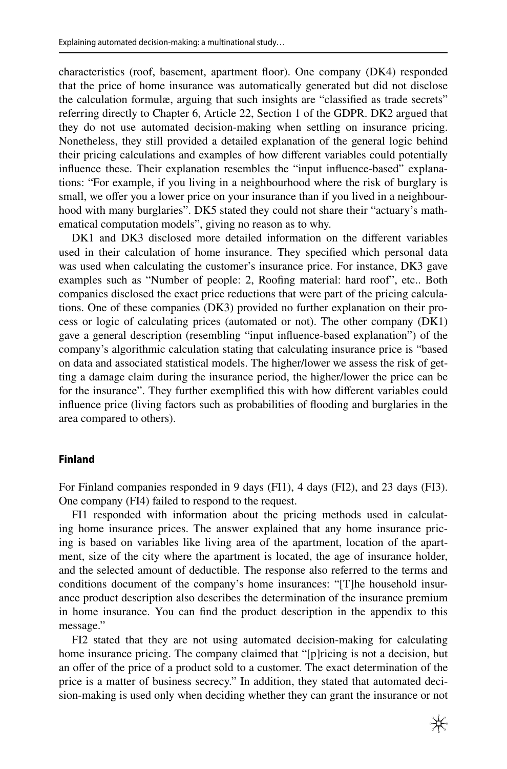characteristics (roof, basement, apartment foor). One company (DK4) responded that the price of home insurance was automatically generated but did not disclose the calculation formulæ, arguing that such insights are "classifed as trade secrets" referring directly to Chapter 6, Article 22, Section 1 of the GDPR. DK2 argued that they do not use automated decision-making when settling on insurance pricing. Nonetheless, they still provided a detailed explanation of the general logic behind their pricing calculations and examples of how diferent variables could potentially infuence these. Their explanation resembles the "input infuence-based" explanations: "For example, if you living in a neighbourhood where the risk of burglary is small, we offer you a lower price on your insurance than if you lived in a neighbourhood with many burglaries". DK5 stated they could not share their "actuary's mathematical computation models", giving no reason as to why.

DK1 and DK3 disclosed more detailed information on the diferent variables used in their calculation of home insurance. They specifed which personal data was used when calculating the customer's insurance price. For instance, DK3 gave examples such as "Number of people: 2, Roofng material: hard roof", etc.. Both companies disclosed the exact price reductions that were part of the pricing calculations. One of these companies (DK3) provided no further explanation on their process or logic of calculating prices (automated or not). The other company (DK1) gave a general description (resembling "input infuence-based explanation") of the company's algorithmic calculation stating that calculating insurance price is "based on data and associated statistical models. The higher/lower we assess the risk of getting a damage claim during the insurance period, the higher/lower the price can be for the insurance". They further exemplifed this with how diferent variables could infuence price (living factors such as probabilities of fooding and burglaries in the area compared to others).

### **Finland**

For Finland companies responded in 9 days (FI1), 4 days (FI2), and 23 days (FI3). One company (FI4) failed to respond to the request.

FI1 responded with information about the pricing methods used in calculating home insurance prices. The answer explained that any home insurance pricing is based on variables like living area of the apartment, location of the apartment, size of the city where the apartment is located, the age of insurance holder, and the selected amount of deductible. The response also referred to the terms and conditions document of the company's home insurances: "[T]he household insurance product description also describes the determination of the insurance premium in home insurance. You can fnd the product description in the appendix to this message."

FI2 stated that they are not using automated decision-making for calculating home insurance pricing. The company claimed that "[p]ricing is not a decision, but an ofer of the price of a product sold to a customer. The exact determination of the price is a matter of business secrecy." In addition, they stated that automated decision-making is used only when deciding whether they can grant the insurance or not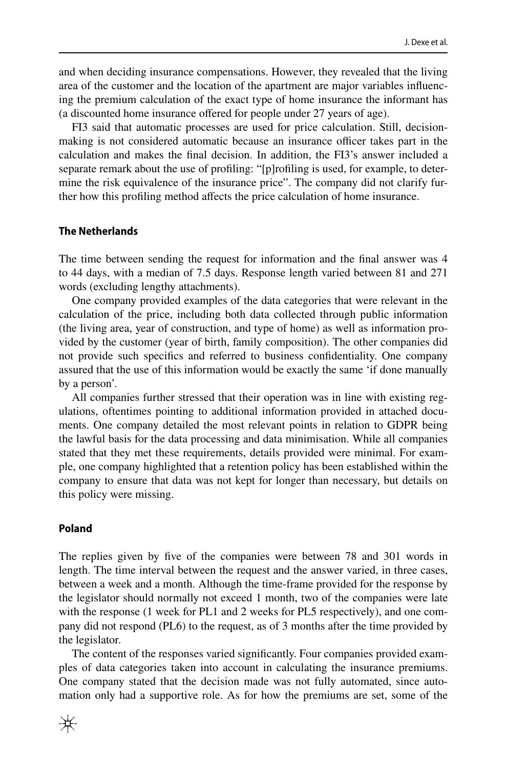and when deciding insurance compensations. However, they revealed that the living area of the customer and the location of the apartment are major variables infuencing the premium calculation of the exact type of home insurance the informant has (a discounted home insurance ofered for people under 27 years of age).

FI3 said that automatic processes are used for price calculation. Still, decisionmaking is not considered automatic because an insurance officer takes part in the calculation and makes the fnal decision. In addition, the FI3's answer included a separate remark about the use of profling: "[p]rofling is used, for example, to determine the risk equivalence of the insurance price". The company did not clarify further how this profling method afects the price calculation of home insurance.

## **The Netherlands**

The time between sending the request for information and the fnal answer was 4 to 44 days, with a median of 7.5 days. Response length varied between 81 and 271 words (excluding lengthy attachments).

One company provided examples of the data categories that were relevant in the calculation of the price, including both data collected through public information (the living area, year of construction, and type of home) as well as information provided by the customer (year of birth, family composition). The other companies did not provide such specifcs and referred to business confdentiality. One company assured that the use of this information would be exactly the same 'if done manually by a person'.

All companies further stressed that their operation was in line with existing regulations, oftentimes pointing to additional information provided in attached documents. One company detailed the most relevant points in relation to GDPR being the lawful basis for the data processing and data minimisation. While all companies stated that they met these requirements, details provided were minimal. For example, one company highlighted that a retention policy has been established within the company to ensure that data was not kept for longer than necessary, but details on this policy were missing.

#### **Poland**

The replies given by five of the companies were between 78 and 301 words in length. The time interval between the request and the answer varied, in three cases, between a week and a month. Although the time-frame provided for the response by the legislator should normally not exceed 1 month, two of the companies were late with the response (1 week for PL1 and 2 weeks for PL5 respectively), and one company did not respond (PL6) to the request, as of 3 months after the time provided by the legislator.

The content of the responses varied signifcantly. Four companies provided examples of data categories taken into account in calculating the insurance premiums. One company stated that the decision made was not fully automated, since automation only had a supportive role. As for how the premiums are set, some of the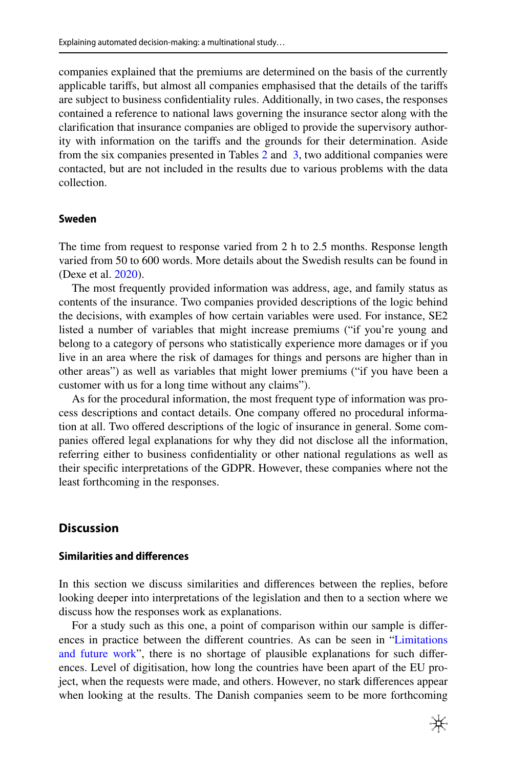companies explained that the premiums are determined on the basis of the currently applicable tarifs, but almost all companies emphasised that the details of the tarifs are subject to business confdentiality rules. Additionally, in two cases, the responses contained a reference to national laws governing the insurance sector along with the clarifcation that insurance companies are obliged to provide the supervisory authority with information on the tarifs and the grounds for their determination. Aside from the six companies presented in Tables [2](#page-10-0) and  [3](#page-12-0), two additional companies were contacted, but are not included in the results due to various problems with the data collection.

### **Sweden**

The time from request to response varied from 2 h to 2.5 months. Response length varied from 50 to 600 words. More details about the Swedish results can be found in (Dexe et al. [2020](#page-25-3)).

The most frequently provided information was address, age, and family status as contents of the insurance. Two companies provided descriptions of the logic behind the decisions, with examples of how certain variables were used. For instance, SE2 listed a number of variables that might increase premiums ("if you're young and belong to a category of persons who statistically experience more damages or if you live in an area where the risk of damages for things and persons are higher than in other areas") as well as variables that might lower premiums ("if you have been a customer with us for a long time without any claims").

As for the procedural information, the most frequent type of information was process descriptions and contact details. One company offered no procedural information at all. Two ofered descriptions of the logic of insurance in general. Some companies offered legal explanations for why they did not disclose all the information, referring either to business confdentiality or other national regulations as well as their specifc interpretations of the GDPR. However, these companies where not the least forthcoming in the responses.

### **Discussion**

### **Similarities and diferences**

In this section we discuss similarities and diferences between the replies, before looking deeper into interpretations of the legislation and then to a section where we discuss how the responses work as explanations.

For a study such as this one, a point of comparison within our sample is diferences in practice between the diferent countries. As can be seen in ["Limitations](#page-22-0) [and future work](#page-22-0)", there is no shortage of plausible explanations for such diferences. Level of digitisation, how long the countries have been apart of the EU project, when the requests were made, and others. However, no stark diferences appear when looking at the results. The Danish companies seem to be more forthcoming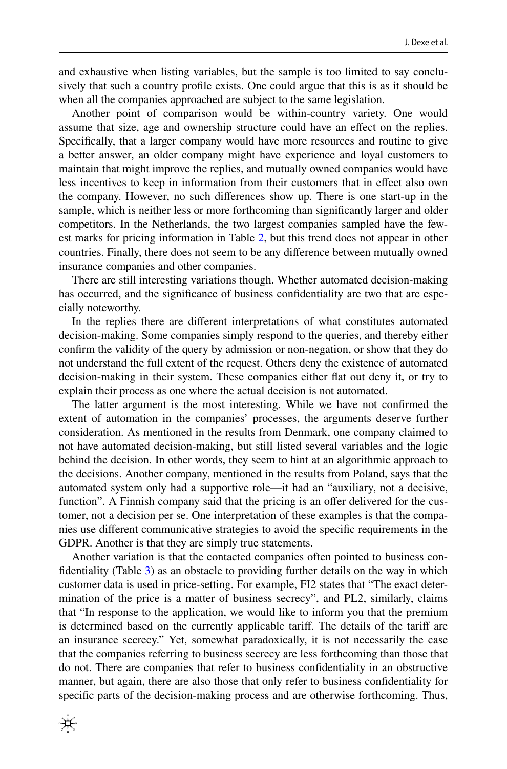and exhaustive when listing variables, but the sample is too limited to say conclusively that such a country profle exists. One could argue that this is as it should be when all the companies approached are subject to the same legislation.

Another point of comparison would be within-country variety. One would assume that size, age and ownership structure could have an efect on the replies. Specifcally, that a larger company would have more resources and routine to give a better answer, an older company might have experience and loyal customers to maintain that might improve the replies, and mutually owned companies would have less incentives to keep in information from their customers that in efect also own the company. However, no such diferences show up. There is one start-up in the sample, which is neither less or more forthcoming than signifcantly larger and older competitors. In the Netherlands, the two largest companies sampled have the fewest marks for pricing information in Table [2,](#page-10-0) but this trend does not appear in other countries. Finally, there does not seem to be any diference between mutually owned insurance companies and other companies.

There are still interesting variations though. Whether automated decision-making has occurred, and the signifcance of business confdentiality are two that are especially noteworthy.

In the replies there are diferent interpretations of what constitutes automated decision-making. Some companies simply respond to the queries, and thereby either confrm the validity of the query by admission or non-negation, or show that they do not understand the full extent of the request. Others deny the existence of automated decision-making in their system. These companies either fat out deny it, or try to explain their process as one where the actual decision is not automated.

The latter argument is the most interesting. While we have not confrmed the extent of automation in the companies' processes, the arguments deserve further consideration. As mentioned in the results from Denmark, one company claimed to not have automated decision-making, but still listed several variables and the logic behind the decision. In other words, they seem to hint at an algorithmic approach to the decisions. Another company, mentioned in the results from Poland, says that the automated system only had a supportive role—it had an "auxiliary, not a decisive, function". A Finnish company said that the pricing is an offer delivered for the customer, not a decision per se. One interpretation of these examples is that the companies use diferent communicative strategies to avoid the specifc requirements in the GDPR. Another is that they are simply true statements.

Another variation is that the contacted companies often pointed to business confdentiality (Table [3\)](#page-12-0) as an obstacle to providing further details on the way in which customer data is used in price-setting. For example, FI2 states that "The exact determination of the price is a matter of business secrecy", and PL2, similarly, claims that "In response to the application, we would like to inform you that the premium is determined based on the currently applicable tarif. The details of the tarif are an insurance secrecy." Yet, somewhat paradoxically, it is not necessarily the case that the companies referring to business secrecy are less forthcoming than those that do not. There are companies that refer to business confdentiality in an obstructive manner, but again, there are also those that only refer to business confdentiality for specifc parts of the decision-making process and are otherwise forthcoming. Thus,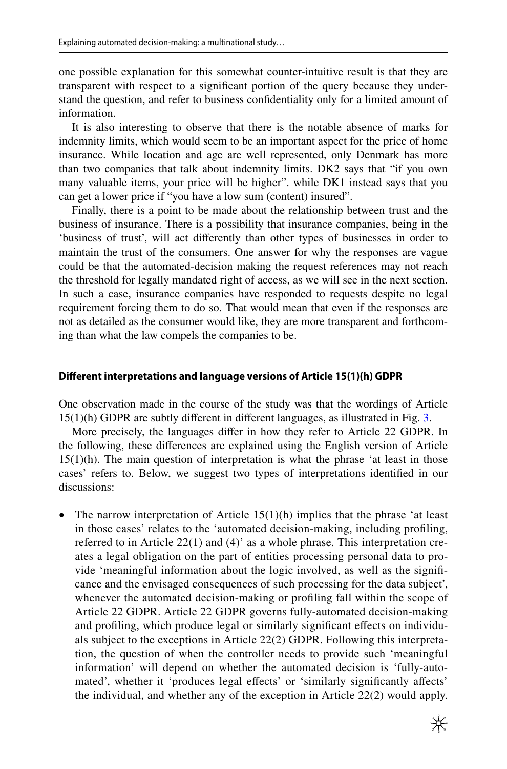one possible explanation for this somewhat counter-intuitive result is that they are transparent with respect to a signifcant portion of the query because they understand the question, and refer to business confdentiality only for a limited amount of information.

It is also interesting to observe that there is the notable absence of marks for indemnity limits, which would seem to be an important aspect for the price of home insurance. While location and age are well represented, only Denmark has more than two companies that talk about indemnity limits. DK2 says that "if you own many valuable items, your price will be higher". while DK1 instead says that you can get a lower price if "you have a low sum (content) insured".

Finally, there is a point to be made about the relationship between trust and the business of insurance. There is a possibility that insurance companies, being in the 'business of trust', will act diferently than other types of businesses in order to maintain the trust of the consumers. One answer for why the responses are vague could be that the automated-decision making the request references may not reach the threshold for legally mandated right of access, as we will see in the next section. In such a case, insurance companies have responded to requests despite no legal requirement forcing them to do so. That would mean that even if the responses are not as detailed as the consumer would like, they are more transparent and forthcoming than what the law compels the companies to be.

### **Diferent interpretations and language versions of Article 15(1)(h) GDPR**

One observation made in the course of the study was that the wordings of Article 15(1)(h) GDPR are subtly diferent in diferent languages, as illustrated in Fig. [3.](#page-19-0)

More precisely, the languages difer in how they refer to Article 22 GDPR. In the following, these diferences are explained using the English version of Article 15(1)(h). The main question of interpretation is what the phrase 'at least in those cases' refers to. Below, we suggest two types of interpretations identifed in our discussions:

• The narrow interpretation of Article  $15(1)(h)$  implies that the phrase 'at least in those cases' relates to the 'automated decision-making, including profling, referred to in Article 22(1) and (4)' as a whole phrase. This interpretation creates a legal obligation on the part of entities processing personal data to provide 'meaningful information about the logic involved, as well as the signifcance and the envisaged consequences of such processing for the data subject', whenever the automated decision-making or profling fall within the scope of Article 22 GDPR. Article 22 GDPR governs fully-automated decision-making and profling, which produce legal or similarly signifcant efects on individuals subject to the exceptions in Article 22(2) GDPR. Following this interpretation, the question of when the controller needs to provide such 'meaningful information' will depend on whether the automated decision is 'fully-automated', whether it 'produces legal efects' or 'similarly signifcantly afects' the individual, and whether any of the exception in Article 22(2) would apply.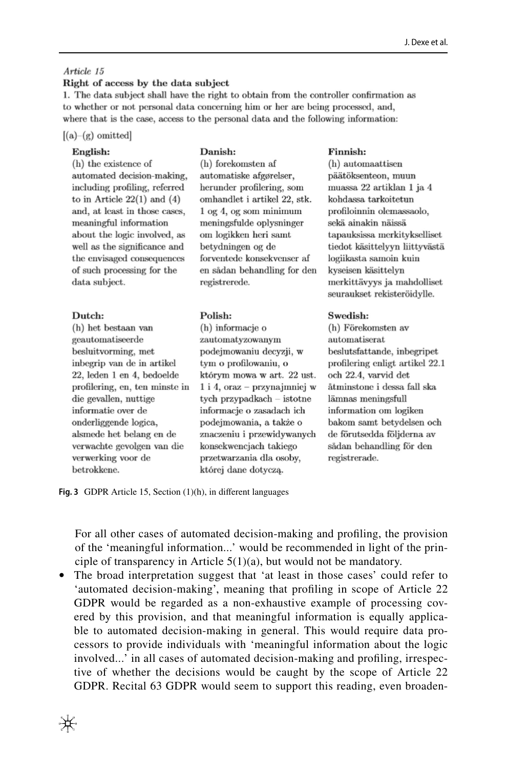#### Article 15

#### Right of access by the data subject

1. The data subject shall have the right to obtain from the controller confirmation as to whether or not personal data concerning him or her are being processed, and, where that is the case, access to the personal data and the following information:

#### $[(a)-(g)$  omitted

#### English:

### Danish:

(h) the existence of automated decision-making, including profiling, referred to in Article  $22(1)$  and  $(4)$ and, at least in those cases. meaningful information about the logic involved, as well as the significance and the envisaged consequences of such processing for the data subject.

#### Dutch:

(h) het bestaan van geautomatiseerde besluitvorming, met inbegrip van de in artikel 22, leden 1 en 4, bedoelde profilering, en, ten minste in die gevallen, nuttige informatie over de onderliggende logica, alsmede het belang en de verwachte gevolgen van die verwerking voor de betrokkene.

(h) forekomsten af automatiske afgørelser, herunder profilering, som omhandlet i artikel 22, stk.  $1$  og  $4$ , og som minimum meningsfulde oplysninger om logikken heri samt betydningen og de forventede konsekvenser af en sådan behandling for den registrerede.

#### Polish:

(h) informacie o zautomatyzowanym podejmowaniu decyzji, w tym o profilowaniu, o którym mowa w art. 22 ust.  $1$  i 4, oraz – przynajmniej w tych przypadkach  $-$  istotne informacje o zasadach ich podejmowania, a także o znaczeniu i przewidywanych konsekwencjach takiego przetwarzania dla osoby, której dane dotyczą.

#### Finnish:

(h) automaattisen päätöksenteon, muun muassa 22 artiklan 1 ja 4 kohdassa tarkoitetun profiloinnin olemassaolo. sekä ainakin näissä tapauksissa merkitykselliset tiedot käsittelyyn liittyvästä logiikasta samoin kuin kyseisen käsittelyn merkittävyys ja mahdolliset seuraukset rekisteröidylle.

#### Swedish:

(h) Förekomsten av automatiserat beslutsfattande, inbegripet profilering enligt artikel 22.1 och 22.4, varvid det åtminstone i dessa fall ska lämnas meningsfull information om logiken bakom samt betydelsen och de förutsedda följderna av sådan behandling för den registrerade.

<span id="page-19-0"></span>**Fig. 3** GDPR Article 15, Section (1)(h), in diferent languages

For all other cases of automated decision-making and profling, the provision of the 'meaningful information...' would be recommended in light of the principle of transparency in Article 5(1)(a), but would not be mandatory.

• The broad interpretation suggest that 'at least in those cases' could refer to 'automated decision-making', meaning that profling in scope of Article 22 GDPR would be regarded as a non-exhaustive example of processing covered by this provision, and that meaningful information is equally applicable to automated decision-making in general. This would require data processors to provide individuals with 'meaningful information about the logic involved...' in all cases of automated decision-making and profling, irrespective of whether the decisions would be caught by the scope of Article 22 GDPR. Recital 63 GDPR would seem to support this reading, even broaden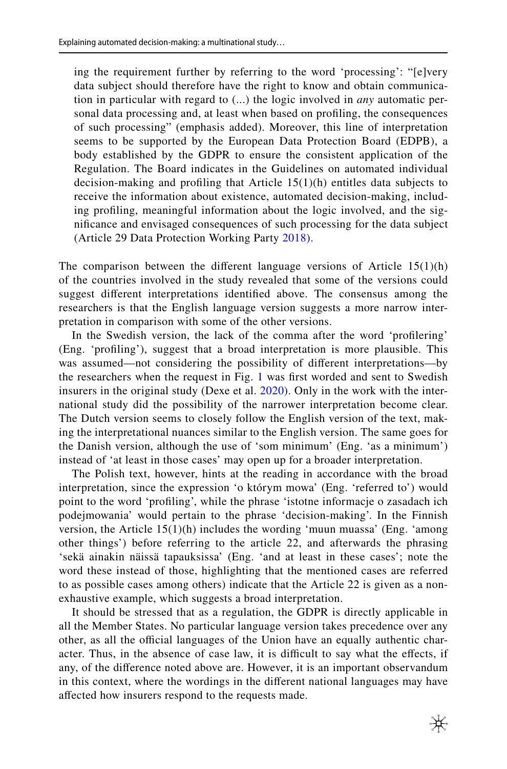ing the requirement further by referring to the word 'processing': "[e]very data subject should therefore have the right to know and obtain communication in particular with regard to (...) the logic involved in *any* automatic personal data processing and, at least when based on profling, the consequences of such processing" (emphasis added). Moreover, this line of interpretation seems to be supported by the European Data Protection Board (EDPB), a body established by the GDPR to ensure the consistent application of the Regulation. The Board indicates in the Guidelines on automated individual decision-making and profling that Article 15(1)(h) entitles data subjects to receive the information about existence, automated decision-making, including profling, meaningful information about the logic involved, and the signifcance and envisaged consequences of such processing for the data subject (Article 29 Data Protection Working Party [2018\)](#page-25-15).

The comparison between the different language versions of Article  $15(1)(h)$ of the countries involved in the study revealed that some of the versions could suggest diferent interpretations identifed above. The consensus among the researchers is that the English language version suggests a more narrow interpretation in comparison with some of the other versions.

In the Swedish version, the lack of the comma after the word 'proflering' (Eng. 'profling'), suggest that a broad interpretation is more plausible. This was assumed—not considering the possibility of diferent interpretations—by the researchers when the request in Fig. [1](#page-7-2) was frst worded and sent to Swedish insurers in the original study (Dexe et al. [2020](#page-25-3)). Only in the work with the international study did the possibility of the narrower interpretation become clear. The Dutch version seems to closely follow the English version of the text, making the interpretational nuances similar to the English version. The same goes for the Danish version, although the use of 'som minimum' (Eng. 'as a minimum') instead of 'at least in those cases' may open up for a broader interpretation.

The Polish text, however, hints at the reading in accordance with the broad interpretation, since the expression 'o którym mowa' (Eng. 'referred to') would point to the word 'profling', while the phrase 'istotne informacje o zasadach ich podejmowania' would pertain to the phrase 'decision-making'. In the Finnish version, the Article 15(1)(h) includes the wording 'muun muassa' (Eng. 'among other things') before referring to the article 22, and afterwards the phrasing 'sekä ainakin näissä tapauksissa' (Eng. 'and at least in these cases'; note the word these instead of those, highlighting that the mentioned cases are referred to as possible cases among others) indicate that the Article 22 is given as a nonexhaustive example, which suggests a broad interpretation.

It should be stressed that as a regulation, the GDPR is directly applicable in all the Member States. No particular language version takes precedence over any other, as all the official languages of the Union have an equally authentic character. Thus, in the absence of case law, it is difficult to say what the effects, if any, of the diference noted above are. However, it is an important observandum in this context, where the wordings in the diferent national languages may have afected how insurers respond to the requests made.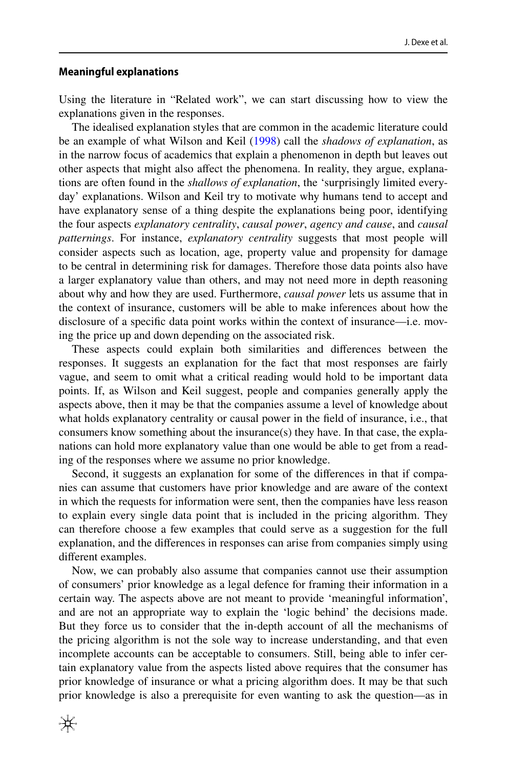### <span id="page-21-0"></span>**Meaningful explanations**

Using the literature in "Related work", we can start discussing how to view the explanations given in the responses.

The idealised explanation styles that are common in the academic literature could be an example of what Wilson and Keil ([1998\)](#page-26-11) call the *shadows of explanation*, as in the narrow focus of academics that explain a phenomenon in depth but leaves out other aspects that might also afect the phenomena. In reality, they argue, explanations are often found in the *shallows of explanation*, the 'surprisingly limited everyday' explanations. Wilson and Keil try to motivate why humans tend to accept and have explanatory sense of a thing despite the explanations being poor, identifying the four aspects *explanatory centrality*, *causal power*, *agency and cause*, and *causal patternings*. For instance, *explanatory centrality* suggests that most people will consider aspects such as location, age, property value and propensity for damage to be central in determining risk for damages. Therefore those data points also have a larger explanatory value than others, and may not need more in depth reasoning about why and how they are used. Furthermore, *causal power* lets us assume that in the context of insurance, customers will be able to make inferences about how the disclosure of a specifc data point works within the context of insurance—i.e. moving the price up and down depending on the associated risk.

These aspects could explain both similarities and diferences between the responses. It suggests an explanation for the fact that most responses are fairly vague, and seem to omit what a critical reading would hold to be important data points. If, as Wilson and Keil suggest, people and companies generally apply the aspects above, then it may be that the companies assume a level of knowledge about what holds explanatory centrality or causal power in the feld of insurance, i.e., that consumers know something about the insurance(s) they have. In that case, the explanations can hold more explanatory value than one would be able to get from a reading of the responses where we assume no prior knowledge.

Second, it suggests an explanation for some of the diferences in that if companies can assume that customers have prior knowledge and are aware of the context in which the requests for information were sent, then the companies have less reason to explain every single data point that is included in the pricing algorithm. They can therefore choose a few examples that could serve as a suggestion for the full explanation, and the diferences in responses can arise from companies simply using diferent examples.

Now, we can probably also assume that companies cannot use their assumption of consumers' prior knowledge as a legal defence for framing their information in a certain way. The aspects above are not meant to provide 'meaningful information', and are not an appropriate way to explain the 'logic behind' the decisions made. But they force us to consider that the in-depth account of all the mechanisms of the pricing algorithm is not the sole way to increase understanding, and that even incomplete accounts can be acceptable to consumers. Still, being able to infer certain explanatory value from the aspects listed above requires that the consumer has prior knowledge of insurance or what a pricing algorithm does. It may be that such prior knowledge is also a prerequisite for even wanting to ask the question—as in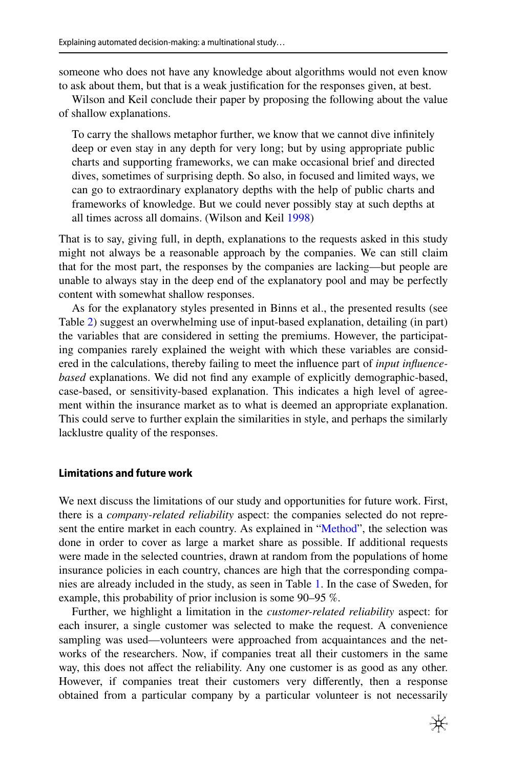someone who does not have any knowledge about algorithms would not even know to ask about them, but that is a weak justifcation for the responses given, at best.

Wilson and Keil conclude their paper by proposing the following about the value of shallow explanations.

To carry the shallows metaphor further, we know that we cannot dive infnitely deep or even stay in any depth for very long; but by using appropriate public charts and supporting frameworks, we can make occasional brief and directed dives, sometimes of surprising depth. So also, in focused and limited ways, we can go to extraordinary explanatory depths with the help of public charts and frameworks of knowledge. But we could never possibly stay at such depths at all times across all domains. (Wilson and Keil [1998\)](#page-26-11)

That is to say, giving full, in depth, explanations to the requests asked in this study might not always be a reasonable approach by the companies. We can still claim that for the most part, the responses by the companies are lacking—but people are unable to always stay in the deep end of the explanatory pool and may be perfectly content with somewhat shallow responses.

As for the explanatory styles presented in Binns et al., the presented results (see Table [2\)](#page-10-0) suggest an overwhelming use of input-based explanation, detailing (in part) the variables that are considered in setting the premiums. However, the participating companies rarely explained the weight with which these variables are considered in the calculations, thereby failing to meet the infuence part of *input infuencebased* explanations. We did not fnd any example of explicitly demographic-based, case-based, or sensitivity-based explanation. This indicates a high level of agreement within the insurance market as to what is deemed an appropriate explanation. This could serve to further explain the similarities in style, and perhaps the similarly lacklustre quality of the responses.

#### <span id="page-22-0"></span>**Limitations and future work**

We next discuss the limitations of our study and opportunities for future work. First, there is a *company-related reliability* aspect: the companies selected do not represent the entire market in each country. As explained in "[Method"](#page-5-0), the selection was done in order to cover as large a market share as possible. If additional requests were made in the selected countries, drawn at random from the populations of home insurance policies in each country, chances are high that the corresponding companies are already included in the study, as seen in Table [1](#page-7-0). In the case of Sweden, for example, this probability of prior inclusion is some 90–95 %.

Further, we highlight a limitation in the *customer-related reliability* aspect: for each insurer, a single customer was selected to make the request. A convenience sampling was used—volunteers were approached from acquaintances and the networks of the researchers. Now, if companies treat all their customers in the same way, this does not afect the reliability. Any one customer is as good as any other. However, if companies treat their customers very diferently, then a response obtained from a particular company by a particular volunteer is not necessarily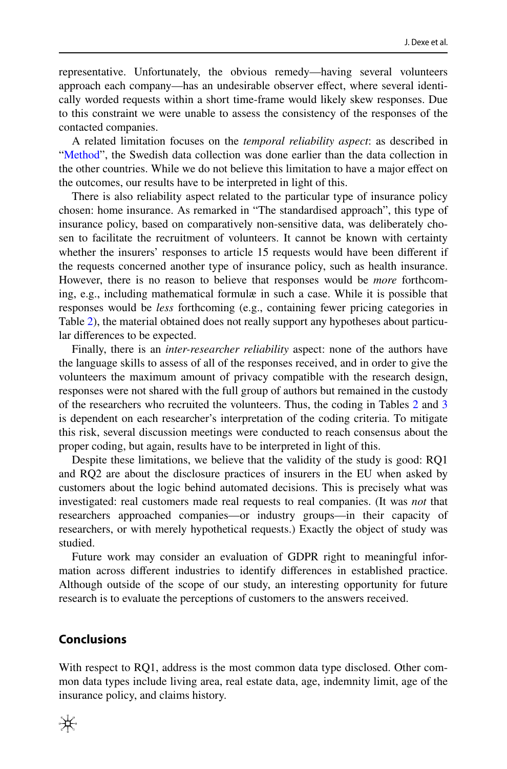representative. Unfortunately, the obvious remedy—having several volunteers approach each company—has an undesirable observer efect, where several identically worded requests within a short time-frame would likely skew responses. Due to this constraint we were unable to assess the consistency of the responses of the contacted companies.

A related limitation focuses on the *temporal reliability aspect*: as described in ["Method"](#page-5-0), the Swedish data collection was done earlier than the data collection in the other countries. While we do not believe this limitation to have a major efect on the outcomes, our results have to be interpreted in light of this.

There is also reliability aspect related to the particular type of insurance policy chosen: home insurance. As remarked in "The standardised approach", this type of insurance policy, based on comparatively non-sensitive data, was deliberately chosen to facilitate the recruitment of volunteers. It cannot be known with certainty whether the insurers' responses to article 15 requests would have been diferent if the requests concerned another type of insurance policy, such as health insurance. However, there is no reason to believe that responses would be *more* forthcoming, e.g., including mathematical formulæ in such a case. While it is possible that responses would be *less* forthcoming (e.g., containing fewer pricing categories in Table [2\)](#page-10-0), the material obtained does not really support any hypotheses about particular diferences to be expected.

Finally, there is an *inter-researcher reliability* aspect: none of the authors have the language skills to assess of all of the responses received, and in order to give the volunteers the maximum amount of privacy compatible with the research design, responses were not shared with the full group of authors but remained in the custody of the researchers who recruited the volunteers. Thus, the coding in Tables [2](#page-10-0) and [3](#page-12-0) is dependent on each researcher's interpretation of the coding criteria. To mitigate this risk, several discussion meetings were conducted to reach consensus about the proper coding, but again, results have to be interpreted in light of this.

Despite these limitations, we believe that the validity of the study is good: RQ1 and RQ2 are about the disclosure practices of insurers in the EU when asked by customers about the logic behind automated decisions. This is precisely what was investigated: real customers made real requests to real companies. (It was *not* that researchers approached companies—or industry groups—in their capacity of researchers, or with merely hypothetical requests.) Exactly the object of study was studied.

Future work may consider an evaluation of GDPR right to meaningful information across diferent industries to identify diferences in established practice. Although outside of the scope of our study, an interesting opportunity for future research is to evaluate the perceptions of customers to the answers received.

## **Conclusions**

With respect to RQ1, address is the most common data type disclosed. Other common data types include living area, real estate data, age, indemnity limit, age of the insurance policy, and claims history.

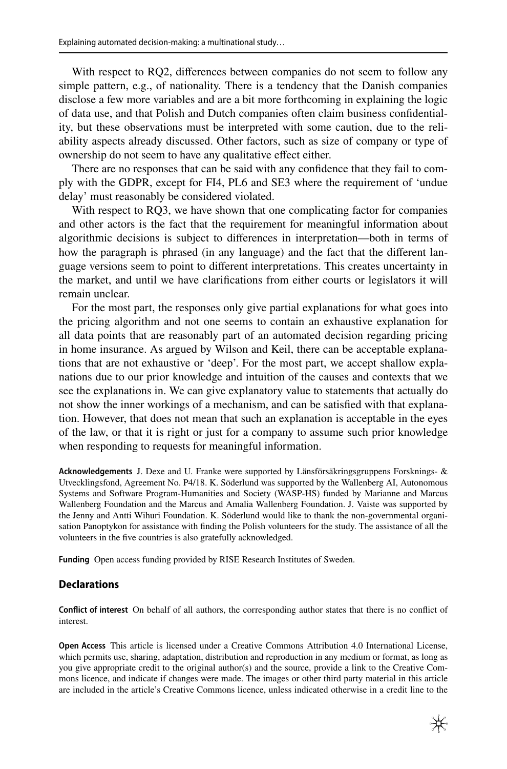With respect to RQ2, differences between companies do not seem to follow any simple pattern, e.g., of nationality. There is a tendency that the Danish companies disclose a few more variables and are a bit more forthcoming in explaining the logic of data use, and that Polish and Dutch companies often claim business confdentiality, but these observations must be interpreted with some caution, due to the reliability aspects already discussed. Other factors, such as size of company or type of ownership do not seem to have any qualitative efect either.

There are no responses that can be said with any confdence that they fail to comply with the GDPR, except for FI4, PL6 and SE3 where the requirement of 'undue delay' must reasonably be considered violated.

With respect to RQ3, we have shown that one complicating factor for companies and other actors is the fact that the requirement for meaningful information about algorithmic decisions is subject to diferences in interpretation—both in terms of how the paragraph is phrased (in any language) and the fact that the diferent language versions seem to point to diferent interpretations. This creates uncertainty in the market, and until we have clarifcations from either courts or legislators it will remain unclear.

For the most part, the responses only give partial explanations for what goes into the pricing algorithm and not one seems to contain an exhaustive explanation for all data points that are reasonably part of an automated decision regarding pricing in home insurance. As argued by Wilson and Keil, there can be acceptable explanations that are not exhaustive or 'deep'. For the most part, we accept shallow explanations due to our prior knowledge and intuition of the causes and contexts that we see the explanations in. We can give explanatory value to statements that actually do not show the inner workings of a mechanism, and can be satisfed with that explanation. However, that does not mean that such an explanation is acceptable in the eyes of the law, or that it is right or just for a company to assume such prior knowledge when responding to requests for meaningful information.

**Acknowledgements** J. Dexe and U. Franke were supported by Länsförsäkringsgruppens Forsknings- & Utvecklingsfond, Agreement No. P4/18. K. Söderlund was supported by the Wallenberg AI, Autonomous Systems and Software Program-Humanities and Society (WASP-HS) funded by Marianne and Marcus Wallenberg Foundation and the Marcus and Amalia Wallenberg Foundation. J. Vaiste was supported by the Jenny and Antti Wihuri Foundation. K. Söderlund would like to thank the non-governmental organisation Panoptykon for assistance with fnding the Polish volunteers for the study. The assistance of all the volunteers in the fve countries is also gratefully acknowledged.

**Funding** Open access funding provided by RISE Research Institutes of Sweden.

### **Declarations**

**Confict of interest** On behalf of all authors, the corresponding author states that there is no confict of interest.

**Open Access** This article is licensed under a Creative Commons Attribution 4.0 International License, which permits use, sharing, adaptation, distribution and reproduction in any medium or format, as long as you give appropriate credit to the original author(s) and the source, provide a link to the Creative Commons licence, and indicate if changes were made. The images or other third party material in this article are included in the article's Creative Commons licence, unless indicated otherwise in a credit line to the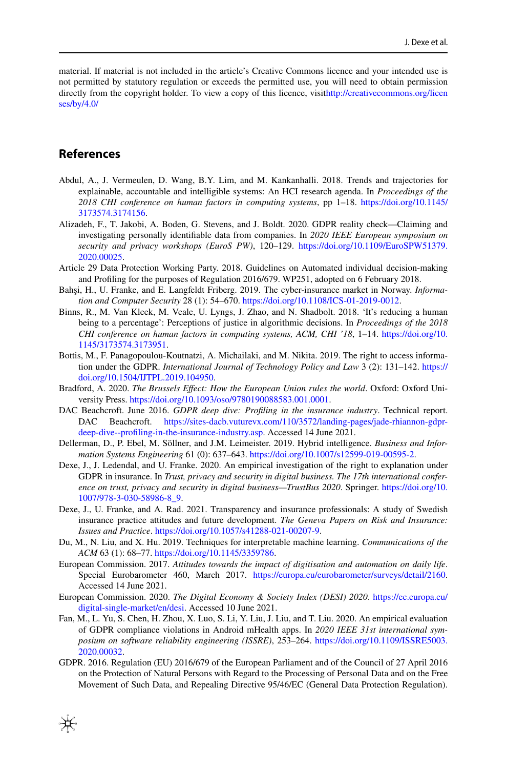material. If material is not included in the article's Creative Commons licence and your intended use is not permitted by statutory regulation or exceeds the permitted use, you will need to obtain permission directly from the copyright holder. To view a copy of this licence, visit[http://creativecommons.org/licen](http://creativecommons.org/licenses/by/4.0/) [ses/by/4.0/](http://creativecommons.org/licenses/by/4.0/)

## **References**

- <span id="page-25-11"></span>Abdul, A., J. Vermeulen, D. Wang, B.Y. Lim, and M. Kankanhalli. 2018. Trends and trajectories for explainable, accountable and intelligible systems: An HCI research agenda. In *Proceedings of the 2018 CHI conference on human factors in computing systems*, pp 1–18. [https://doi.org/10.1145/](https://doi.org/10.1145/3173574.3174156) [3173574.3174156](https://doi.org/10.1145/3173574.3174156).
- <span id="page-25-5"></span>Alizadeh, F., T. Jakobi, A. Boden, G. Stevens, and J. Boldt. 2020. GDPR reality check—Claiming and investigating personally identifable data from companies. In *2020 IEEE European symposium on security and privacy workshops (EuroS PW)*, 120–129. [https://doi.org/10.1109/EuroSPW51379.](https://doi.org/10.1109/EuroSPW51379.2020.00025) [2020.00025](https://doi.org/10.1109/EuroSPW51379.2020.00025).
- <span id="page-25-15"></span>Article 29 Data Protection Working Party. 2018. Guidelines on Automated individual decision-making and Profling for the purposes of Regulation 2016/679. WP251, adopted on 6 February 2018.
- <span id="page-25-6"></span>Bahşi, H., U. Franke, and E. Langfeldt Friberg. 2019. The cyber-insurance market in Norway. *Information and Computer Security* 28 (1): 54–670.<https://doi.org/10.1108/ICS-01-2019-0012>.
- <span id="page-25-10"></span>Binns, R., M. Van Kleek, M. Veale, U. Lyngs, J. Zhao, and N. Shadbolt. 2018. 'It's reducing a human being to a percentage': Perceptions of justice in algorithmic decisions. In *Proceedings of the 2018 CHI conference on human factors in computing systems, ACM, CHI '18*, 1–14. [https://doi.org/10.](https://doi.org/10.1145/3173574.3173951) [1145/3173574.3173951](https://doi.org/10.1145/3173574.3173951).
- <span id="page-25-9"></span>Bottis, M., F. Panagopoulou-Koutnatzi, A. Michailaki, and M. Nikita. 2019. The right to access information under the GDPR. *International Journal of Technology Policy and Law* 3 (2): 131–142. [https://](https://doi.org/10.1504/IJTPL.2019.104950) [doi.org/10.1504/IJTPL.2019.104950](https://doi.org/10.1504/IJTPL.2019.104950).
- <span id="page-25-0"></span>Bradford, A. 2020. *The Brussels Efect: How the European Union rules the world*. Oxford: Oxford University Press.<https://doi.org/10.1093/oso/9780190088583.001.0001>.
- <span id="page-25-4"></span>DAC Beachcroft. June 2016. *GDPR deep dive: Profiling in the insurance industry*. Technical report.<br>DAC Beachcroft. https://sites-dacb.vutureyx.com/110/3572/landing-pages/jade-rhiannon-gdprBeachcroft. [https://sites-dacb.vuturevx.com/110/3572/landing-pages/jade-rhiannon-gdpr](https://sites-dacb.vuturevx.com/110/3572/landing-pages/jade-rhiannon-gdpr-deep-dive--profiling-in-the-insurance-industry.asp)[deep-dive--profling-in-the-insurance-industry.asp](https://sites-dacb.vuturevx.com/110/3572/landing-pages/jade-rhiannon-gdpr-deep-dive--profiling-in-the-insurance-industry.asp). Accessed 14 June 2021.
- <span id="page-25-13"></span>Dellerman, D., P. Ebel, M. Söllner, and J.M. Leimeister. 2019. Hybrid intelligence. *Business and Information Systems Engineering* 61 (0): 637–643. <https://doi.org/10.1007/s12599-019-00595-2>.
- <span id="page-25-3"></span>Dexe, J., J. Ledendal, and U. Franke. 2020. An empirical investigation of the right to explanation under GDPR in insurance. In *Trust, privacy and security in digital business. The 17th international conference on trust, privacy and security in digital business—TrustBus 2020*. Springer. [https://doi.org/10.](https://doi.org/10.1007/978-3-030-58986-8_9) [1007/978-3-030-58986-8\\_9.](https://doi.org/10.1007/978-3-030-58986-8_9)
- <span id="page-25-7"></span>Dexe, J., U. Franke, and A. Rad. 2021. Transparency and insurance professionals: A study of Swedish insurance practice attitudes and future development. *The Geneva Papers on Risk and Insurance: Issues and Practice*.<https://doi.org/10.1057/s41288-021-00207-9>.
- <span id="page-25-12"></span>Du, M., N. Liu, and X. Hu. 2019. Techniques for interpretable machine learning. *Communications of the ACM* 63 (1): 68–77. [https://doi.org/10.1145/3359786.](https://doi.org/10.1145/3359786)
- <span id="page-25-2"></span>European Commission. 2017. *Attitudes towards the impact of digitisation and automation on daily life*. Special Eurobarometer 460, March 2017. <https://europa.eu/eurobarometer/surveys/detail/2160>. Accessed 14 June 2021.
- <span id="page-25-14"></span>European Commission. 2020. *The Digital Economy & Society Index (DESI) 2020*. [https://ec.europa.eu/](https://ec.europa.eu/digital-single-market/en/desi) [digital-single-market/en/desi.](https://ec.europa.eu/digital-single-market/en/desi) Accessed 10 June 2021.
- <span id="page-25-8"></span>Fan, M., L. Yu, S. Chen, H. Zhou, X. Luo, S. Li, Y. Liu, J. Liu, and T. Liu. 2020. An empirical evaluation of GDPR compliance violations in Android mHealth apps. In *2020 IEEE 31st international symposium on software reliability engineering (ISSRE)*, 253–264. [https://doi.org/10.1109/ISSRE5003.](https://doi.org/10.1109/ISSRE5003.2020.00032) [2020.00032](https://doi.org/10.1109/ISSRE5003.2020.00032).
- <span id="page-25-1"></span>GDPR. 2016. Regulation (EU) 2016/679 of the European Parliament and of the Council of 27 April 2016 on the Protection of Natural Persons with Regard to the Processing of Personal Data and on the Free Movement of Such Data, and Repealing Directive 95/46/EC (General Data Protection Regulation).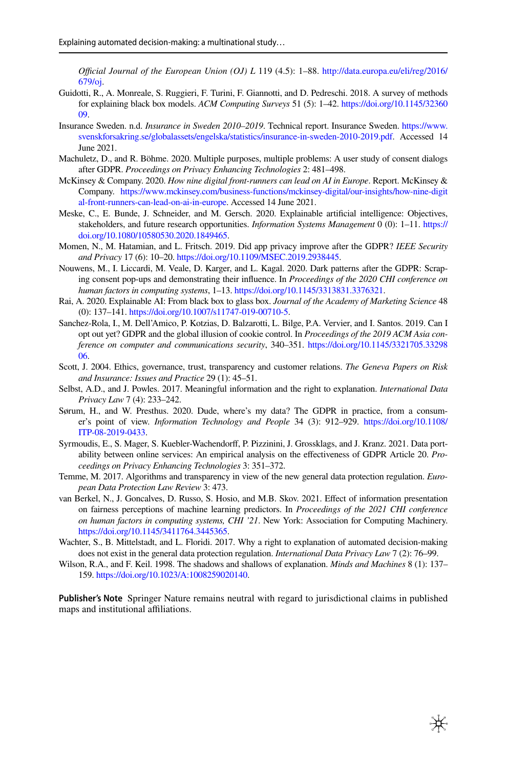*Ofcial Journal of the European Union (OJ) L* 119 (4.5): 1–88. [http://data.europa.eu/eli/reg/2016/](http://data.europa.eu/eli/reg/2016/679/oj) [679/oj](http://data.europa.eu/eli/reg/2016/679/oj).

- <span id="page-26-13"></span>Guidotti, R., A. Monreale, S. Ruggieri, F. Turini, F. Giannotti, and D. Pedreschi. 2018. A survey of methods for explaining black box models. *ACM Computing Surveys* 51 (5): 1–42. [https://doi.org/10.1145/32360](https://doi.org/10.1145/3236009) [09.](https://doi.org/10.1145/3236009)
- <span id="page-26-16"></span>Insurance Sweden. n.d. *Insurance in Sweden 2010–2019*. Technical report. Insurance Sweden. [https://www.](https://www.svenskforsakring.se/globalassets/engelska/statistics/insurance-in-sweden-2010-2019.pdf) [svenskforsakring.se/globalassets/engelska/statistics/insurance-in-sweden-2010-2019.pdf](https://www.svenskforsakring.se/globalassets/engelska/statistics/insurance-in-sweden-2010-2019.pdf). Accessed 14 June 2021.
- <span id="page-26-2"></span>Machuletz, D., and R. Böhme. 2020. Multiple purposes, multiple problems: A user study of consent dialogs after GDPR. *Proceedings on Privacy Enhancing Technologies* 2: 481–498.
- <span id="page-26-15"></span>McKinsey & Company. 2020. *How nine digital front-runners can lead on AI in Europe*. Report. McKinsey & Company. [https://www.mckinsey.com/business-functions/mckinsey-digital/our-insights/how-nine-digit](https://www.mckinsey.com/business-functions/mckinsey-digital/our-insights/how-nine-digital-front-runners-can-lead-on-ai-in-europe) [al-front-runners-can-lead-on-ai-in-europe](https://www.mckinsey.com/business-functions/mckinsey-digital/our-insights/how-nine-digital-front-runners-can-lead-on-ai-in-europe). Accessed 14 June 2021.
- <span id="page-26-14"></span>Meske, C., E. Bunde, J. Schneider, and M. Gersch. 2020. Explainable artifcial intelligence: Objectives, stakeholders, and future research opportunities. *Information Systems Management* 0 (0): 1–11. [https://](https://doi.org/10.1080/10580530.2020.1849465) [doi.org/10.1080/10580530.2020.1849465](https://doi.org/10.1080/10580530.2020.1849465).
- <span id="page-26-5"></span>Momen, N., M. Hatamian, and L. Fritsch. 2019. Did app privacy improve after the GDPR? *IEEE Security and Privacy* 17 (6): 10–20.<https://doi.org/10.1109/MSEC.2019.2938445>.
- <span id="page-26-4"></span>Nouwens, M., I. Liccardi, M. Veale, D. Karger, and L. Kagal. 2020. Dark patterns after the GDPR: Scraping consent pop-ups and demonstrating their infuence. In *Proceedings of the 2020 CHI conference on human factors in computing systems*, 1–13.<https://doi.org/10.1145/3313831.3376321>.
- <span id="page-26-12"></span>Rai, A. 2020. Explainable AI: From black box to glass box. *Journal of the Academy of Marketing Science* 48 (0): 137–141. [https://doi.org/10.1007/s11747-019-00710-5.](https://doi.org/10.1007/s11747-019-00710-5)
- <span id="page-26-3"></span>Sanchez-Rola, I., M. Dell'Amico, P. Kotzias, D. Balzarotti, L. Bilge, P.A. Vervier, and I. Santos. 2019. Can I opt out yet? GDPR and the global illusion of cookie control. In *Proceedings of the 2019 ACM Asia conference on computer and communications security*, 340–351. [https://doi.org/10.1145/3321705.33298](https://doi.org/10.1145/3321705.3329806) [06.](https://doi.org/10.1145/3321705.3329806)
- <span id="page-26-1"></span>Scott, J. 2004. Ethics, governance, trust, transparency and customer relations. *The Geneva Papers on Risk and Insurance: Issues and Practice* 29 (1): 45–51.
- <span id="page-26-9"></span>Selbst, A.D., and J. Powles. 2017. Meaningful information and the right to explanation. *International Data Privacy Law* 7 (4): 233–242.
- <span id="page-26-0"></span>Sørum, H., and W. Presthus. 2020. Dude, where's my data? The GDPR in practice, from a consumer's point of view. *Information Technology and People* 34 (3): 912–929. [https://doi.org/10.1108/](https://doi.org/10.1108/ITP-08-2019-0433) [ITP-08-2019-0433](https://doi.org/10.1108/ITP-08-2019-0433).
- <span id="page-26-6"></span>Syrmoudis, E., S. Mager, S. Kuebler-Wachendorff, P. Pizzinini, J. Grossklags, and J. Kranz. 2021. Data portability between online services: An empirical analysis on the efectiveness of GDPR Article 20. *Proceedings on Privacy Enhancing Technologies* 3: 351–372.
- <span id="page-26-7"></span>Temme, M. 2017. Algorithms and transparency in view of the new general data protection regulation. *European Data Protection Law Review* 3: 473.
- <span id="page-26-10"></span>van Berkel, N., J. Goncalves, D. Russo, S. Hosio, and M.B. Skov. 2021. Efect of information presentation on fairness perceptions of machine learning predictors. In *Proceedings of the 2021 CHI conference on human factors in computing systems, CHI '21*. New York: Association for Computing Machinery. <https://doi.org/10.1145/3411764.3445365>.
- <span id="page-26-8"></span>Wachter, S., B. Mittelstadt, and L. Floridi. 2017. Why a right to explanation of automated decision-making does not exist in the general data protection regulation. *International Data Privacy Law* 7 (2): 76–99.
- <span id="page-26-11"></span>Wilson, R.A., and F. Keil. 1998. The shadows and shallows of explanation. *Minds and Machines* 8 (1): 137– 159. [https://doi.org/10.1023/A:1008259020140.](https://doi.org/10.1023/A:1008259020140)

**Publisher's Note** Springer Nature remains neutral with regard to jurisdictional claims in published maps and institutional affiliations.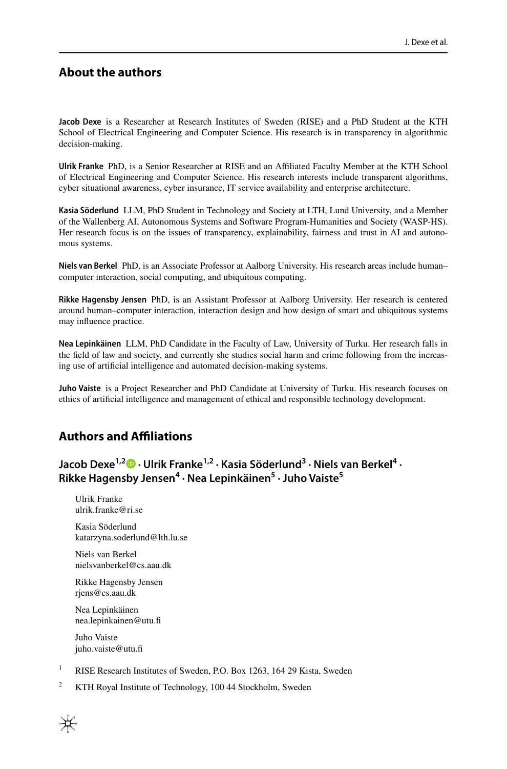## **About the authors**

**Jacob Dexe** is a Researcher at Research Institutes of Sweden (RISE) and a PhD Student at the KTH School of Electrical Engineering and Computer Science. His research is in transparency in algorithmic decision-making.

**Ulrik Franke** PhD, is a Senior Researcher at RISE and an Afliated Faculty Member at the KTH School of Electrical Engineering and Computer Science. His research interests include transparent algorithms, cyber situational awareness, cyber insurance, IT service availability and enterprise architecture.

**Kasia Söderlund** LLM, PhD Student in Technology and Society at LTH, Lund University, and a Member of the Wallenberg AI, Autonomous Systems and Software Program-Humanities and Society (WASP-HS). Her research focus is on the issues of transparency, explainability, fairness and trust in AI and autonomous systems.

**Niels van Berkel** PhD, is an Associate Professor at Aalborg University. His research areas include human– computer interaction, social computing, and ubiquitous computing.

**Rikke Hagensby Jensen** PhD, is an Assistant Professor at Aalborg University. Her research is centered around human–computer interaction, interaction design and how design of smart and ubiquitous systems may infuence practice.

**Nea Lepinkäinen** LLM, PhD Candidate in the Faculty of Law, University of Turku. Her research falls in the feld of law and society, and currently she studies social harm and crime following from the increasing use of artifcial intelligence and automated decision-making systems.

**Juho Vaiste** is a Project Researcher and PhD Candidate at University of Turku. His research focuses on ethics of artifcial intelligence and management of ethical and responsible technology development.

## **Authors and Afliations**

**Jacob Dexe1,2  [·](http://orcid.org/0000-0003-0738-2737) Ulrik Franke1,2 · Kasia Söderlund3 · Niels van Berkel<sup>4</sup> · Rikke Hagensby Jensen4 · Nea Lepinkäinen5 · Juho Vaiste5**

Ulrik Franke ulrik.franke@ri.se

Kasia Söderlund katarzyna.soderlund@lth.lu.se

Niels van Berkel nielsvanberkel@cs.aau.dk

Rikke Hagensby Jensen rjens@cs.aau.dk

Nea Lepinkäinen nea.lepinkainen@utu.f

Juho Vaiste juho.vaiste@utu.fi

- <sup>1</sup> RISE Research Institutes of Sweden, P.O. Box 1263, 164 29 Kista, Sweden
- <sup>2</sup> KTH Royal Institute of Technology, 100 44 Stockholm, Sweden